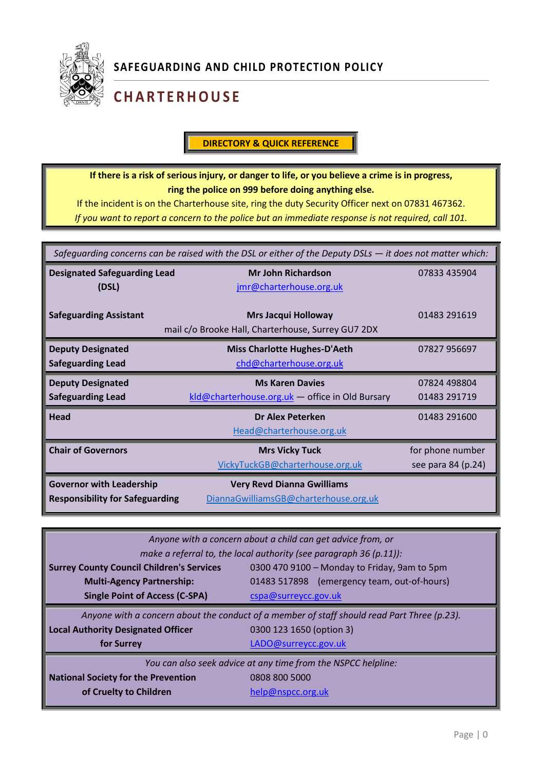

# **C H A R T E R H O U S E**

#### **DIRECTORY & QUICK REFERENCE**

**If there is a risk of serious injury, or danger to life, or you believe a crime is in progress, ring the police on 999 before doing anything else.**

If the incident is on the Charterhouse site, ring the duty Security Officer next on 07831 467362. *If you want to report a concern to the police but an immediate response is not required, call 101.*

| Safequarding concerns can be raised with the DSL or either of the Deputy DSLs - it does not matter which: |                                                    |                    |  |
|-----------------------------------------------------------------------------------------------------------|----------------------------------------------------|--------------------|--|
| <b>Designated Safeguarding Lead</b>                                                                       | <b>Mr John Richardson</b>                          | 07833 435904       |  |
| (DSL)                                                                                                     | jmr@charterhouse.org.uk                            |                    |  |
| <b>Safeguarding Assistant</b>                                                                             | <b>Mrs Jacqui Holloway</b>                         | 01483 291619       |  |
|                                                                                                           | mail c/o Brooke Hall, Charterhouse, Surrey GU7 2DX |                    |  |
| <b>Deputy Designated</b>                                                                                  | <b>Miss Charlotte Hughes-D'Aeth</b>                | 07827 956697       |  |
| <b>Safeguarding Lead</b>                                                                                  | chd@charterhouse.org.uk                            |                    |  |
| <b>Deputy Designated</b>                                                                                  | <b>Ms Karen Davies</b>                             | 07824 498804       |  |
| <b>Safeguarding Lead</b>                                                                                  | kld@charterhouse.org.uk - office in Old Bursary    | 01483 291719       |  |
| <b>Head</b>                                                                                               | <b>Dr Alex Peterken</b>                            | 01483 291600       |  |
|                                                                                                           | Head@charterhouse.org.uk                           |                    |  |
| <b>Chair of Governors</b>                                                                                 | <b>Mrs Vicky Tuck</b>                              | for phone number   |  |
|                                                                                                           | VickyTuckGB@charterhouse.org.uk                    | see para 84 (p.24) |  |
| <b>Governor with Leadership</b>                                                                           | <b>Very Revd Dianna Gwilliams</b>                  |                    |  |
| <b>Responsibility for Safeguarding</b>                                                                    | DiannaGwilliamsGB@charterhouse.org.uk              |                    |  |

| Anyone with a concern about a child can get advice from, or                                 |                                              |  |  |
|---------------------------------------------------------------------------------------------|----------------------------------------------|--|--|
| make a referral to, the local authority (see paragraph 36 (p.11)):                          |                                              |  |  |
| <b>Surrey County Council Children's Services</b>                                            | 0300 470 9100 - Monday to Friday, 9am to 5pm |  |  |
| <b>Multi-Agency Partnership:</b>                                                            | 01483 517898 (emergency team, out-of-hours)  |  |  |
| <b>Single Point of Access (C-SPA)</b>                                                       | cspa@surreycc.gov.uk                         |  |  |
| Anyone with a concern about the conduct of a member of staff should read Part Three (p.23). |                                              |  |  |
| <b>Local Authority Designated Officer</b>                                                   | 0300 123 1650 (option 3)                     |  |  |
| for Surrey                                                                                  | LADO@surreycc.gov.uk                         |  |  |
| You can also seek advice at any time from the NSPCC helpline:                               |                                              |  |  |
| <b>National Society for the Prevention</b>                                                  | 0808 800 5000                                |  |  |
| of Cruelty to Children                                                                      | help@nspcc.org.uk                            |  |  |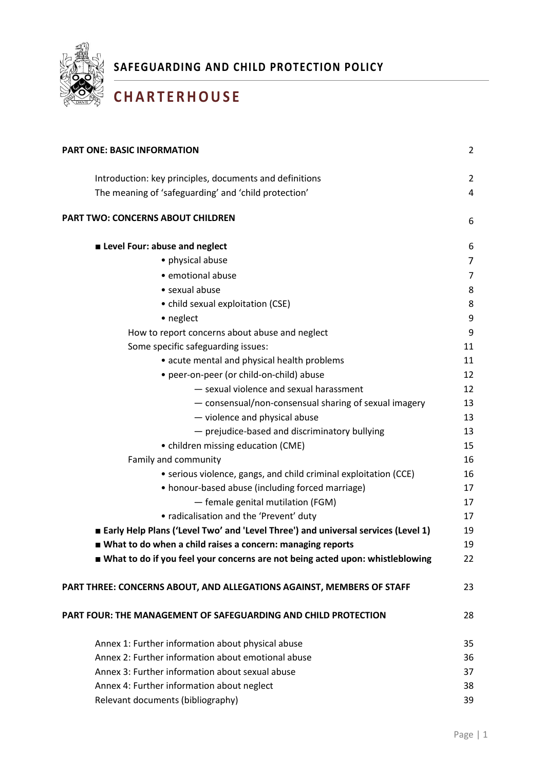

# **C H A R T E R H O U S E**

| <b>PART ONE: BASIC INFORMATION</b>                                                | $\overline{2}$ |
|-----------------------------------------------------------------------------------|----------------|
| Introduction: key principles, documents and definitions                           | $\overline{2}$ |
| The meaning of 'safeguarding' and 'child protection'                              | 4              |
| <b>PART TWO: CONCERNS ABOUT CHILDREN</b>                                          | 6              |
| Level Four: abuse and neglect                                                     | 6              |
| • physical abuse                                                                  | 7              |
| · emotional abuse                                                                 | $\overline{7}$ |
| • sexual abuse                                                                    | 8              |
| • child sexual exploitation (CSE)                                                 | 8              |
| • neglect                                                                         | 9              |
| How to report concerns about abuse and neglect                                    | 9              |
| Some specific safeguarding issues:                                                | 11             |
| • acute mental and physical health problems                                       | 11             |
| • peer-on-peer (or child-on-child) abuse                                          | 12             |
| - sexual violence and sexual harassment                                           | 12             |
| - consensual/non-consensual sharing of sexual imagery                             | 13             |
| - violence and physical abuse                                                     | 13             |
| - prejudice-based and discriminatory bullying                                     | 13             |
| • children missing education (CME)                                                | 15             |
| Family and community                                                              | 16             |
| • serious violence, gangs, and child criminal exploitation (CCE)                  | 16             |
| • honour-based abuse (including forced marriage)                                  | 17             |
| - female genital mutilation (FGM)                                                 | 17             |
| • radicalisation and the 'Prevent' duty                                           | 17             |
| Early Help Plans ('Level Two' and 'Level Three') and universal services (Level 1) | 19             |
| ■ What to do when a child raises a concern: managing reports                      | 19             |
| What to do if you feel your concerns are not being acted upon: whistleblowing     | 22             |
| PART THREE: CONCERNS ABOUT, AND ALLEGATIONS AGAINST, MEMBERS OF STAFF             | 23             |
| PART FOUR: THE MANAGEMENT OF SAFEGUARDING AND CHILD PROTECTION                    | 28             |
| Annex 1: Further information about physical abuse                                 | 35             |
| Annex 2: Further information about emotional abuse                                |                |
| Annex 3: Further information about sexual abuse                                   | 37             |
| Annex 4: Further information about neglect                                        | 38             |
| Relevant documents (bibliography)                                                 | 39             |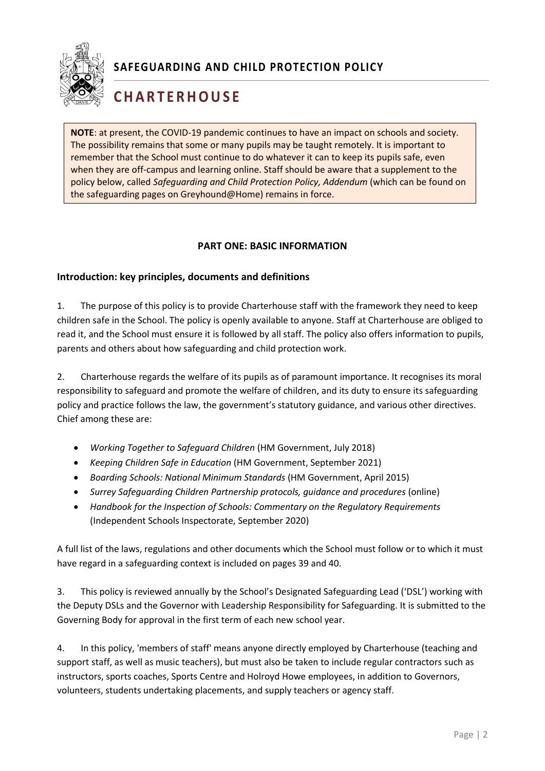

# **C H A R T E R H O U S E**

**NOTE**: at present, the COVID-19 pandemic continues to have an impact on schools and society. The possibility remains that some or many pupils may be taught remotely. It is important to remember that the School must continue to do whatever it can to keep its pupils safe, even when they are off-campus and learning online. Staff should be aware that a supplement to the policy below, called *Safeguarding and Child Protection Policy, Addendum* (which can be found on the safeguarding pages on Greyhound@Home) remains in force.

#### <span id="page-2-0"></span>**PART ONE: BASIC INFORMATION**

#### <span id="page-2-1"></span>**Introduction: key principles, documents and definitions**

1. The purpose of this policy is to provide Charterhouse staff with the framework they need to keep children safe in the School. The policy is openly available to anyone. Staff at Charterhouse are obliged to read it, and the School must ensure it is followed by all staff. The policy also offers information to pupils, parents and others about how safeguarding and child protection work.

2. Charterhouse regards the welfare of its pupils as of paramount importance. It recognises its moral responsibility to safeguard and promote the welfare of children, and its duty to ensure its safeguarding policy and practice follows the law, the government's statutory guidance, and various other directives. Chief among these are:

- *Working Together to Safeguard Children* (HM Government, July 2018)
- *Keeping Children Safe in Education* (HM Government, September 2021)
- *Boarding Schools: National Minimum Standards* (HM Government, April 2015)
- *Surrey Safeguarding Children Partnership protocols, guidance and procedures* (online)
- *Handbook for the Inspection of Schools: Commentary on the Regulatory Requirements* (Independent Schools Inspectorate, September 2020)

1 A full list of the laws, regulations and other documents which the School must follow or to which it must have regard in a safeguarding context is included on pages 39 and 40.

3. This policy is reviewed annually by the School's Designated Safeguarding Lead ('DSL') working with the Deputy DSLs and the Governor with Leadership Responsibility for Safeguarding. It is submitted to the Governing Body for approval in the first term of each new school year.

4. In this policy, 'members of staff' means anyone directly employed by Charterhouse (teaching and support staff, as well as music teachers), but must also be taken to include regular contractors such as instructors, sports coaches, Sports Centre and Holroyd Howe employees, in addition to Governors, volunteers, students undertaking placements, and supply teachers or agency staff.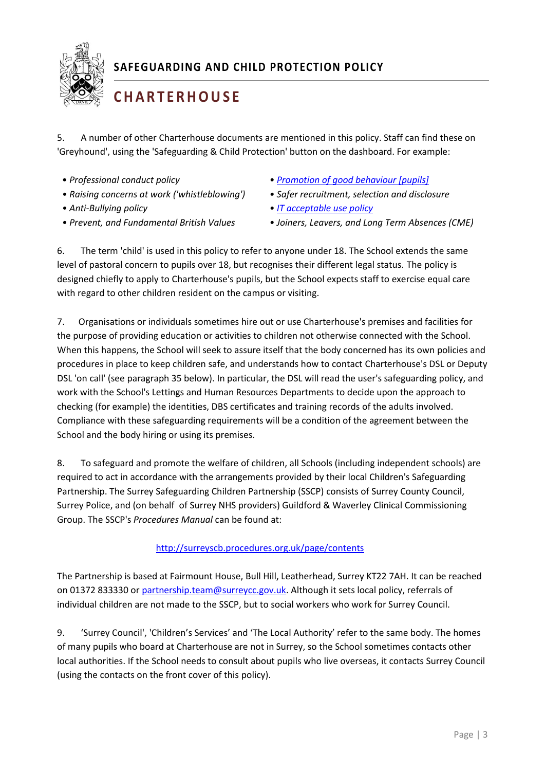

# **C H A R T E R H O U S E**

5. A number of other Charterhouse documents are mentioned in this policy. Staff can find these on 'Greyhound', using the 'Safeguarding & Child Protection' button on the dashboard. For example:

- 
- *Raising concerns at work ('whistleblowing') Safer recruitment, selection and disclosure*
- 
- 
- *Professional conduct policy [Promotion of good behaviour \[pupils\]](https://resources.finalsite.net/images/v1646657741/charterhouseorguk/dzlixxx8xdfcbz731ddi/PromotionofGoodBehaviour-February2022.pdf)*
	-
- *Anti-Bullying policy [IT acceptable use](https://resources.finalsite.net/images/v1632296044/charterhouseorguk/gxmlau7xjmxbzen0si8c/ITPupilAcceptableUsePolicy.pdf) policy*
- *Prevent, and Fundamental British Values Joiners, Leavers, and Long Term Absences (CME)*

6. The term 'child' is used in this policy to refer to anyone under 18. The School extends the same level of pastoral concern to pupils over 18, but recognises their different legal status. The policy is designed chiefly to apply to Charterhouse's pupils, but the School expects staff to exercise equal care with regard to other children resident on the campus or visiting.

7. Organisations or individuals sometimes hire out or use Charterhouse's premises and facilities for the purpose of providing education or activities to children not otherwise connected with the School. When this happens, the School will seek to assure itself that the body concerned has its own policies and procedures in place to keep children safe, and understands how to contact Charterhouse's DSL or Deputy DSL 'on call' (see paragraph 35 below). In particular, the DSL will read the user's safeguarding policy, and work with the School's Lettings and Human Resources Departments to decide upon the approach to checking (for example) the identities, DBS certificates and training records of the adults involved. Compliance with these safeguarding requirements will be a condition of the agreement between the School and the body hiring or using its premises.

8. To safeguard and promote the welfare of children, all Schools (including independent schools) are required to act in accordance with the arrangements provided by their local Children's Safeguarding Partnership. The Surrey Safeguarding Children Partnership (SSCP) consists of Surrey County Council, Surrey Police, and (on behalf of Surrey NHS providers) Guildford & Waverley Clinical Commissioning Group. The SSCP's *Procedures Manual* can be found at:

#### <http://surreyscb.procedures.org.uk/page/contents>

The Partnership is based at Fairmount House, Bull Hill, Leatherhead, Surrey KT22 7AH. It can be reached on 01372 833330 or [partnership.team@surreycc.gov.uk.](file:///C:/Users/JMR/Documents/partnership.team@surreycc.gov.uk) Although it sets local policy, referrals of individual children are not made to the SSCP, but to social workers who work for Surrey Council.

9. 'Surrey Council', 'Children's Services' and 'The Local Authority' refer to the same body. The homes of many pupils who board at Charterhouse are not in Surrey, so the School sometimes contacts other local authorities. If the School needs to consult about pupils who live overseas, it contacts Surrey Council (using the contacts on the front cover of this policy).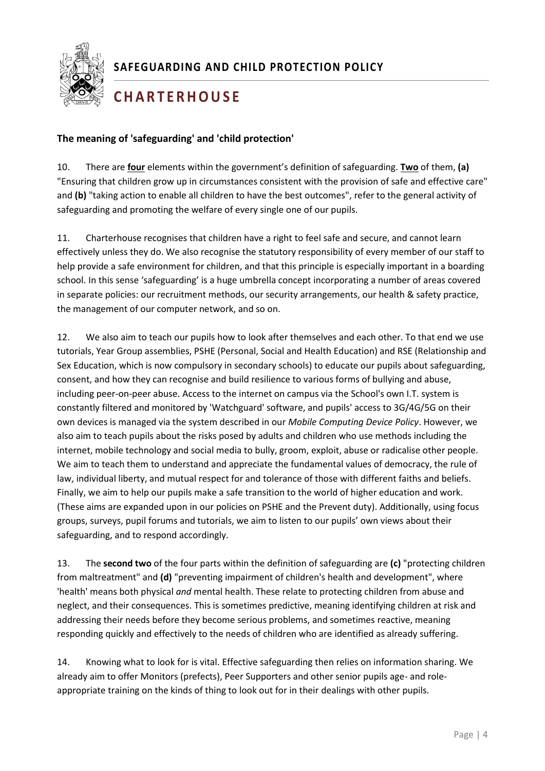

## **C H A R T E R H O U S E**

#### <span id="page-4-0"></span>**The meaning of 'safeguarding' and 'child protection'**

10. There are **four** elements within the government's definition of safeguarding. **Two** of them, **(a)** "Ensuring that children grow up in circumstances consistent with the provision of safe and effective care" and **(b)** "taking action to enable all children to have the best outcomes", refer to the general activity of safeguarding and promoting the welfare of every single one of our pupils.

11. Charterhouse recognises that children have a right to feel safe and secure, and cannot learn effectively unless they do. We also recognise the statutory responsibility of every member of our staff to help provide a safe environment for children, and that this principle is especially important in a boarding school. In this sense 'safeguarding' is a huge umbrella concept incorporating a number of areas covered in separate policies: our recruitment methods, our security arrangements, our health & safety practice, the management of our computer network, and so on.

1 safeguarding, and to respond accordingly. 12. We also aim to teach our pupils how to look after themselves and each other. To that end we use tutorials, Year Group assemblies, PSHE (Personal, Social and Health Education) and RSE (Relationship and Sex Education, which is now compulsory in secondary schools) to educate our pupils about safeguarding, consent, and how they can recognise and build resilience to various forms of bullying and abuse, including peer-on-peer abuse. Access to the internet on campus via the School's own I.T. system is constantly filtered and monitored by 'Watchguard' software, and pupils' access to 3G/4G/5G on their own devices is managed via the system described in our *Mobile Computing Device Policy*. However, we also aim to teach pupils about the risks posed by adults and children who use methods including the internet, mobile technology and social media to bully, groom, exploit, abuse or radicalise other people. We aim to teach them to understand and appreciate the fundamental values of democracy, the rule of law, individual liberty, and mutual respect for and tolerance of those with different faiths and beliefs. Finally, we aim to help our pupils make a safe transition to the world of higher education and work. (These aims are expanded upon in our policies on PSHE and the Prevent duty). Additionally, using focus groups, surveys, pupil forums and tutorials, we aim to listen to our pupils' own views about their

13. The **second two** of the four parts within the definition of safeguarding are **(c)** "protecting children from maltreatment" and **(d)** "preventing impairment of children's health and development", where 'health' means both physical *and* mental health. These relate to protecting children from abuse and neglect, and their consequences. This is sometimes predictive, meaning identifying children at risk and addressing their needs before they become serious problems, and sometimes reactive, meaning responding quickly and effectively to the needs of children who are identified as already suffering.

14. Knowing what to look for is vital. Effective safeguarding then relies on information sharing. We already aim to offer Monitors (prefects), Peer Supporters and other senior pupils age- and roleappropriate training on the kinds of thing to look out for in their dealings with other pupils.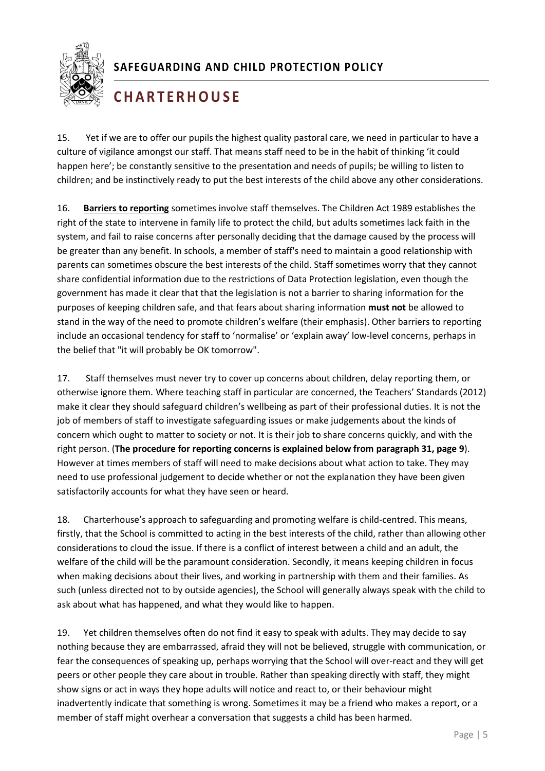

# **C H A R T E R H O U S E**

15. Yet if we are to offer our pupils the highest quality pastoral care, we need in particular to have a culture of vigilance amongst our staff. That means staff need to be in the habit of thinking 'it could happen here'; be constantly sensitive to the presentation and needs of pupils; be willing to listen to children; and be instinctively ready to put the best interests of the child above any other considerations.

16. **Barriers to reporting** sometimes involve staff themselves. The Children Act 1989 establishes the right of the state to intervene in family life to protect the child, but adults sometimes lack faith in the system, and fail to raise concerns after personally deciding that the damage caused by the process will be greater than any benefit. In schools, a member of staff's need to maintain a good relationship with parents can sometimes obscure the best interests of the child. Staff sometimes worry that they cannot share confidential information due to the restrictions of Data Protection legislation, even though the government has made it clear that that the legislation is not a barrier to sharing information for the purposes of keeping children safe, and that fears about sharing information **must not** be allowed to stand in the way of the need to promote children's welfare (their emphasis). Other barriers to reporting include an occasional tendency for staff to 'normalise' or 'explain away' low-level concerns, perhaps in the belief that "it will probably be OK tomorrow".

17. Staff themselves must never try to cover up concerns about children, delay reporting them, or otherwise ignore them. Where teaching staff in particular are concerned, the Teachers' Standards (2012) make it clear they should safeguard children's wellbeing as part of their professional duties. It is not the job of members of staff to investigate safeguarding issues or make judgements about the kinds of concern which ought to matter to society or not. It is their job to share concerns quickly, and with the right person. (**The procedure for reporting concerns is explained below from paragraph 31, page 9**). However at times members of staff will need to make decisions about what action to take. They may need to use professional judgement to decide whether or not the explanation they have been given satisfactorily accounts for what they have seen or heard.

mony, that the behoor is committed to acting in the best interests or the enila, rather than anowing<br>considerations to cloud the issue. If there is a conflict of interest between a child and an adult, the 18. Charterhouse's approach to safeguarding and promoting welfare is child-centred. This means, firstly, that the School is committed to acting in the best interests of the child, rather than allowing other welfare of the child will be the paramount consideration. Secondly, it means keeping children in focus when making decisions about their lives, and working in partnership with them and their families. As such (unless directed not to by outside agencies), the School will generally always speak with the child to ask about what has happened, and what they would like to happen.

19. Yet children themselves often do not find it easy to speak with adults. They may decide to say nothing because they are embarrassed, afraid they will not be believed, struggle with communication, or fear the consequences of speaking up, perhaps worrying that the School will over-react and they will get peers or other people they care about in trouble. Rather than speaking directly with staff, they might show signs or act in ways they hope adults will notice and react to, or their behaviour might inadvertently indicate that something is wrong. Sometimes it may be a friend who makes a report, or a member of staff might overhear a conversation that suggests a child has been harmed.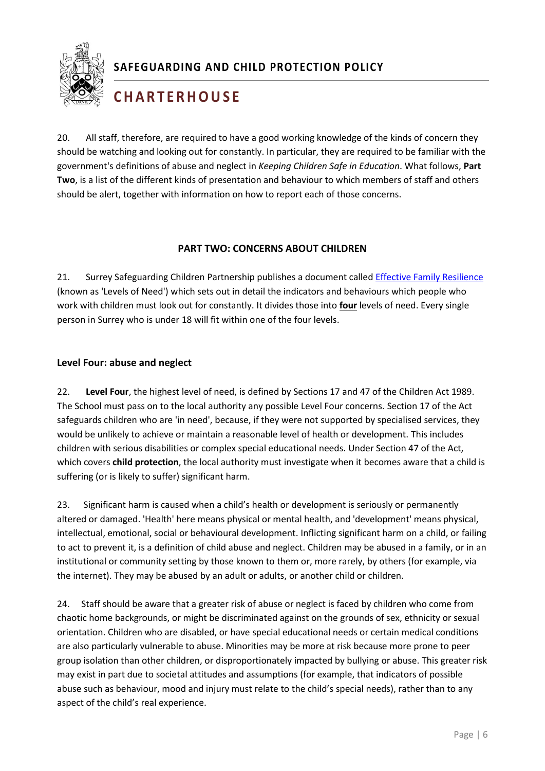

# **C H A R T E R H O U S E**

20. All staff, therefore, are required to have a good working knowledge of the kinds of concern they should be watching and looking out for constantly. In particular, they are required to be familiar with the government's definitions of abuse and neglect in *Keeping Children Safe in Education*. What follows, **Part Two**, is a list of the different kinds of presentation and behaviour to which members of staff and others should be alert, together with information on how to report each of those concerns.

#### <span id="page-6-0"></span>**PART TWO: CONCERNS ABOUT CHILDREN**

21. Surrey Safeguarding Children Partnership publishes a document called [Effective Family Resilience](https://www.surreyscb.org.uk/wp-content/uploads/2018/12/Effective-family-resilience-SSCB-Final-March-2019-1.pdf) (known as 'Levels of Need') which sets out in detail the indicators and behaviours which people who work with children must look out for constantly. It divides those into **four** levels of need. Every single person in Surrey who is under 18 will fit within one of the four levels.

#### <span id="page-6-1"></span>**Level Four: abuse and neglect**

22. **Level Four**, the highest level of need, is defined by Sections 17 and 47 of the Children Act 1989. The School must pass on to the local authority any possible Level Four concerns. Section 17 of the Act safeguards children who are 'in need', because, if they were not supported by specialised services, they would be unlikely to achieve or maintain a reasonable level of health or development. This includes children with serious disabilities or complex special educational needs. Under Section 47 of the Act, which covers **child protection**, the local authority must investigate when it becomes aware that a child is suffering (or is likely to suffer) significant harm.

1 to act to prevent it, is a definition of child abuse and neglect. Children may be abused in a family, or in an 23. Significant harm is caused when a child's health or development is seriously or permanently altered or damaged. 'Health' here means physical or mental health, and 'development' means physical, intellectual, emotional, social or behavioural development. Inflicting significant harm on a child, or failing institutional or community setting by those known to them or, more rarely, by others (for example, via the internet). They may be abused by an adult or adults, or another child or children.

24. Staff should be aware that a greater risk of abuse or neglect is faced by children who come from chaotic home backgrounds, or might be discriminated against on the grounds of sex, ethnicity or sexual orientation. Children who are disabled, or have special educational needs or certain medical conditions are also particularly vulnerable to abuse. Minorities may be more at risk because more prone to peer group isolation than other children, or disproportionately impacted by bullying or abuse. This greater risk may exist in part due to societal attitudes and assumptions (for example, that indicators of possible abuse such as behaviour, mood and injury must relate to the child's special needs), rather than to any aspect of the child's real experience.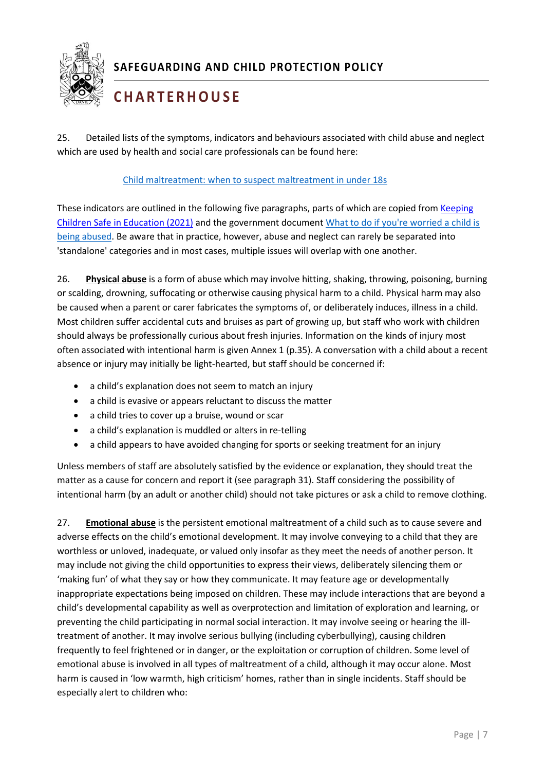

# **C H A R T E R H O U S E**

25. Detailed lists of the symptoms, indicators and behaviours associated with child abuse and neglect which are used by health and social care professionals can be found here:

#### [Child maltreatment: when to suspect maltreatment in under 18s](https://www.nice.org.uk/guidance/cg89/chapter/1-Guidance)

These indicators are outlined in the following five paragraphs, parts of which are copied from [Keeping](https://www.gov.uk/government/publications/keeping-children-safe-in-education--2)  [Children Safe in Education \(2021\)](https://www.gov.uk/government/publications/keeping-children-safe-in-education--2) and the government documen[t What to do if you're worried a child is](https://www.gov.uk/government/uploads/system/uploads/attachment_data/file/419604/What_to_do_if_you_re_worried_a_child_is_being_abused.pdf)  [being abused.](https://www.gov.uk/government/uploads/system/uploads/attachment_data/file/419604/What_to_do_if_you_re_worried_a_child_is_being_abused.pdf) Be aware that in practice, however, abuse and neglect can rarely be separated into 'standalone' categories and in most cases, multiple issues will overlap with one another.

<span id="page-7-0"></span>26. **Physical abuse** is a form of abuse which may involve hitting, shaking, throwing, poisoning, burning or scalding, drowning, suffocating or otherwise causing physical harm to a child. Physical harm may also be caused when a parent or carer fabricates the symptoms of, or deliberately induces, illness in a child. Most children suffer accidental cuts and bruises as part of growing up, but staff who work with children should always be professionally curious about fresh injuries. Information on the kinds of injury most often associated with intentional harm is given Annex 1 (p.35). A conversation with a child about a recent absence or injury may initially be light-hearted, but staff should be concerned if:

- a child's explanation does not seem to match an injury
- a child is evasive or appears reluctant to discuss the matter
- a child tries to cover up a bruise, wound or scar
- a child's explanation is muddled or alters in re-telling
- a child appears to have avoided changing for sports or seeking treatment for an injury

Unless members of staff are absolutely satisfied by the evidence or explanation, they should treat the matter as a cause for concern and report it (see paragraph 31). Staff considering the possibility of intentional harm (by an adult or another child) should not take pictures or ask a child to remove clothing.

<span id="page-7-1"></span>adverse effects on the child's emotional development. It may involve conveying to a child that they are 27. **Emotional abuse** is the persistent emotional maltreatment of a child such as to cause severe and worthless or unloved, inadequate, or valued only insofar as they meet the needs of another person. It may include not giving the child opportunities to express their views, deliberately silencing them or 'making fun' of what they say or how they communicate. It may feature age or developmentally inappropriate expectations being imposed on children. These may include interactions that are beyond a child's developmental capability as well as overprotection and limitation of exploration and learning, or preventing the child participating in normal social interaction. It may involve seeing or hearing the illtreatment of another. It may involve serious bullying (including cyberbullying), causing children frequently to feel frightened or in danger, or the exploitation or corruption of children. Some level of emotional abuse is involved in all types of maltreatment of a child, although it may occur alone. Most harm is caused in 'low warmth, high criticism' homes, rather than in single incidents. Staff should be especially alert to children who: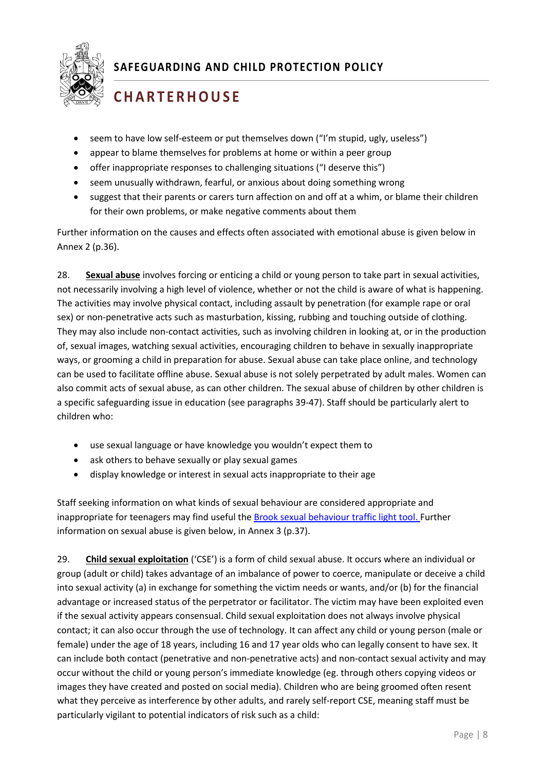

# **C H A R T E R H O U S E**

- seem to have low self-esteem or put themselves down ("I'm stupid, ugly, useless")
- appear to blame themselves for problems at home or within a peer group
- offer inappropriate responses to challenging situations ("I deserve this")
- seem unusually withdrawn, fearful, or anxious about doing something wrong
- suggest that their parents or carers turn affection on and off at a whim, or blame their children for their own problems, or make negative comments about them

Further information on the causes and effects often associated with emotional abuse is given below in Annex 2 (p.36).

<span id="page-8-0"></span>28. **Sexual abuse** involves forcing or enticing a child or young person to take part in sexual activities, not necessarily involving a high level of violence, whether or not the child is aware of what is happening. The activities may involve physical contact, including assault by penetration (for example rape or oral sex) or non-penetrative acts such as masturbation, kissing, rubbing and touching outside of clothing. They may also include non-contact activities, such as involving children in looking at, or in the production of, sexual images, watching sexual activities, encouraging children to behave in sexually inappropriate ways, or grooming a child in preparation for abuse. Sexual abuse can take place online, and technology can be used to facilitate offline abuse. Sexual abuse is not solely perpetrated by adult males. Women can also commit acts of sexual abuse, as can other children. The sexual abuse of children by other children is a specific safeguarding issue in education (see paragraphs 39-47). Staff should be particularly alert to children who:

- use sexual language or have knowledge you wouldn't expect them to
- ask others to behave sexually or play sexual games
- display knowledge or interest in sexual acts inappropriate to their age

Staff seeking information on what kinds of sexual behaviour are considered appropriate and inappropriate for teenagers may find useful the [Brook sexual behaviour traffic light tool.](https://www.brook.org.uk/our-work/the-sexual-behaviours-traffic-light-tool) Further information on sexual abuse is given below, in Annex 3 (p.37).

<span id="page-8-1"></span>29. **Child sexual exploitation** ('CSE') is a form of child sexual abuse. It occurs where an individual or group (adult or child) takes advantage of an imbalance of power to coerce, manipulate or deceive a child into sexual activity (a) in exchange for something the victim needs or wants, and/or (b) for the financial advantage or increased status of the perpetrator or facilitator. The victim may have been exploited even if the sexual activity appears consensual. Child sexual exploitation does not always involve physical contact; it can also occur through the use of technology. It can affect any child or young person (male or female) under the age of 18 years, including 16 and 17 year olds who can legally consent to have sex. It can include both contact (penetrative and non-penetrative acts) and non-contact sexual activity and may occur without the child or young person's immediate knowledge (eg. through others copying videos or images they have created and posted on social media). Children who are being groomed often resent what they perceive as interference by other adults, and rarely self-report CSE, meaning staff must be particularly vigilant to potential indicators of risk such as a child: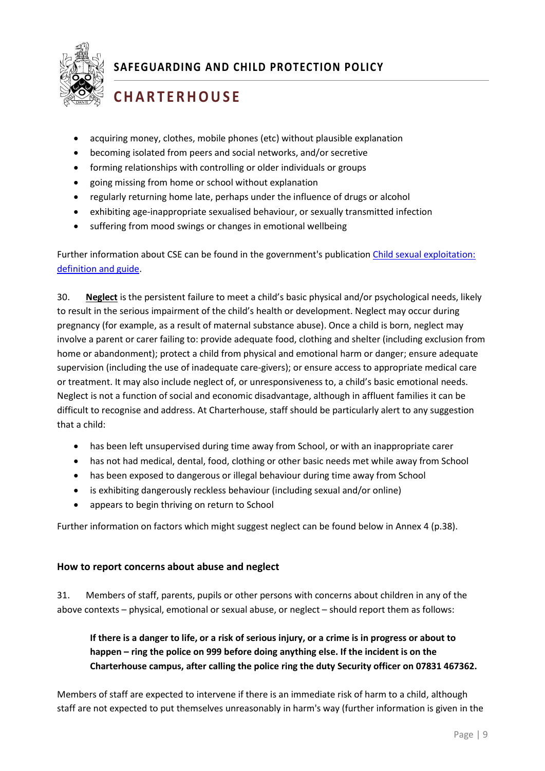

# **C H A R T E R H O U S E**

- acquiring money, clothes, mobile phones (etc) without plausible explanation
- becoming isolated from peers and social networks, and/or secretive
- forming relationships with controlling or older individuals or groups
- going missing from home or school without explanation
- regularly returning home late, perhaps under the influence of drugs or alcohol
- exhibiting age-inappropriate sexualised behaviour, or sexually transmitted infection
- suffering from mood swings or changes in emotional wellbeing

Further information about CSE can be found in the government's publication [Child sexual exploitation:](https://www.gov.uk/government/publications/child-sexual-exploitation-definition-and-guide-for-practitioners)  [definition and guide.](https://www.gov.uk/government/publications/child-sexual-exploitation-definition-and-guide-for-practitioners)

<span id="page-9-0"></span>30. **Neglect** is the persistent failure to meet a child's basic physical and/or psychological needs, likely to result in the serious impairment of the child's health or development. Neglect may occur during pregnancy (for example, as a result of maternal substance abuse). Once a child is born, neglect may involve a parent or carer failing to: provide adequate food, clothing and shelter (including exclusion from home or abandonment); protect a child from physical and emotional harm or danger; ensure adequate supervision (including the use of inadequate care-givers); or ensure access to appropriate medical care or treatment. It may also include neglect of, or unresponsiveness to, a child's basic emotional needs. Neglect is not a function of social and economic disadvantage, although in affluent families it can be difficult to recognise and address. At Charterhouse, staff should be particularly alert to any suggestion that a child:

- has been left unsupervised during time away from School, or with an inappropriate carer
- has not had medical, dental, food, clothing or other basic needs met while away from School
- has been exposed to dangerous or illegal behaviour during time away from School
- is exhibiting dangerously reckless behaviour (including sexual and/or online)
- appears to begin thriving on return to School

Further information on factors which might suggest neglect can be found below in Annex 4 (p.38).

#### <span id="page-9-1"></span>**How to report concerns about abuse and neglect**

31. Members of staff, parents, pupils or other persons with concerns about children in any of the above contexts – physical, emotional or sexual abuse, or neglect – should report them as follows:

#### **If there is a danger to life, or a risk of serious injury, or a crime is in progress or about to happen – ring the police on 999 before doing anything else. If the incident is on the Charterhouse campus, after calling the police ring the duty Security officer on 07831 467362.**

Members of staff are expected to intervene if there is an immediate risk of harm to a child, although staff are not expected to put themselves unreasonably in harm's way (further information is given in the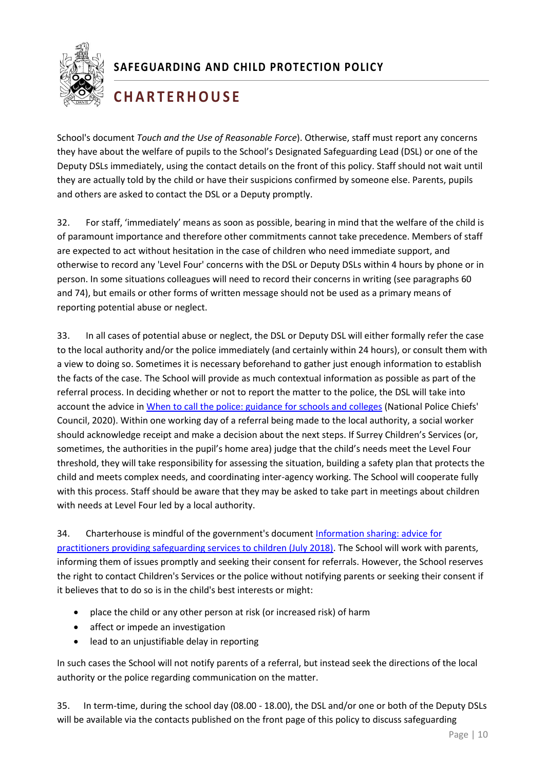

## **C H A R T E R H O U S E**

School's document *Touch and the Use of Reasonable Force*). Otherwise, staff must report any concerns they have about the welfare of pupils to the School's Designated Safeguarding Lead (DSL) or one of the Deputy DSLs immediately, using the contact details on the front of this policy. Staff should not wait until they are actually told by the child or have their suspicions confirmed by someone else. Parents, pupils and others are asked to contact the DSL or a Deputy promptly.

32. For staff, 'immediately' means as soon as possible, bearing in mind that the welfare of the child is of paramount importance and therefore other commitments cannot take precedence. Members of staff are expected to act without hesitation in the case of children who need immediate support, and otherwise to record any 'Level Four' concerns with the DSL or Deputy DSLs within 4 hours by phone or in person. In some situations colleagues will need to record their concerns in writing (see paragraphs 60 and 74), but emails or other forms of written message should not be used as a primary means of reporting potential abuse or neglect.

33. In all cases of potential abuse or neglect, the DSL or Deputy DSL will either formally refer the case to the local authority and/or the police immediately (and certainly within 24 hours), or consult them with a view to doing so. Sometimes it is necessary beforehand to gather just enough information to establish the facts of the case. The School will provide as much contextual information as possible as part of the referral process. In deciding whether or not to report the matter to the police, the DSL will take into account the advice in [When to call the police: guidance for schools and colleges](https://www.npcc.police.uk/documents/Children%20and%20Young%20people/When%20to%20call%20police%20guidance%20for%20schools%20and%20colleges.pdf) (National Police Chiefs' Council, 2020). Within one working day of a referral being made to the local authority, a social worker should acknowledge receipt and make a decision about the next steps. If Surrey Children's Services (or, sometimes, the authorities in the pupil's home area) judge that the child's needs meet the Level Four threshold, they will take responsibility for assessing the situation, building a safety plan that protects the child and meets complex needs, and coordinating inter-agency working. The School will cooperate fully with this process. Staff should be aware that they may be asked to take part in meetings about children with needs at Level Four led by a local authority.

[practitioners providing safeguarding services to children \(July 2018\).](https://assets.publishing.service.gov.uk/government/uploads/system/uploads/attachment_data/file/721581/Information_sharing_advice_practitioners_safeguarding_services.pdf) The School will work with parents, 34. Charterhouse is mindful of the government's document [Information sharing: advice for](https://assets.publishing.service.gov.uk/government/uploads/system/uploads/attachment_data/file/721581/Information_sharing_advice_practitioners_safeguarding_services.pdf)  informing them of issues promptly and seeking their consent for referrals. However, the School reserves the right to contact Children's Services or the police without notifying parents or seeking their consent if it believes that to do so is in the child's best interests or might:

- place the child or any other person at risk (or increased risk) of harm
- affect or impede an investigation
- lead to an unjustifiable delay in reporting

In such cases the School will not notify parents of a referral, but instead seek the directions of the local authority or the police regarding communication on the matter.

35. In term-time, during the school day (08.00 - 18.00), the DSL and/or one or both of the Deputy DSLs will be available via the contacts published on the front page of this policy to discuss safeguarding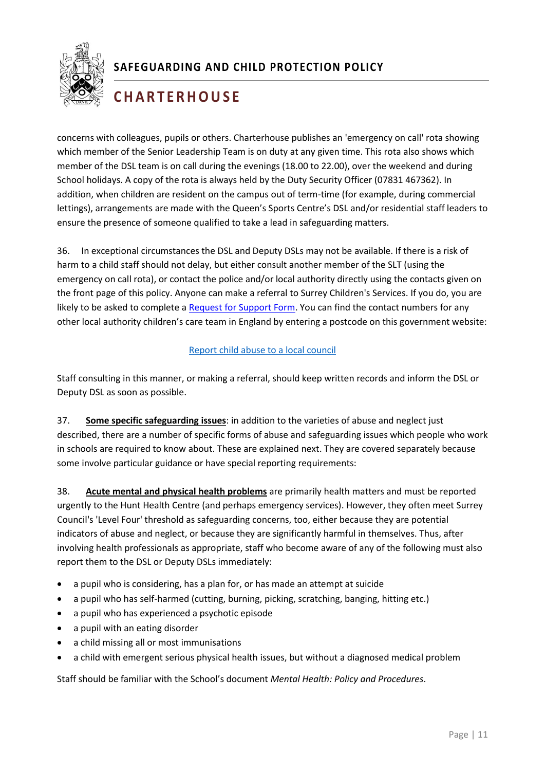

## **C H A R T E R H O U S E**

concerns with colleagues, pupils or others. Charterhouse publishes an 'emergency on call' rota showing which member of the Senior Leadership Team is on duty at any given time. This rota also shows which member of the DSL team is on call during the evenings (18.00 to 22.00), over the weekend and during School holidays. A copy of the rota is always held by the Duty Security Officer (07831 467362). In addition, when children are resident on the campus out of term-time (for example, during commercial lettings), arrangements are made with the Queen's Sports Centre's DSL and/or residential staff leaders to ensure the presence of someone qualified to take a lead in safeguarding matters.

36. In exceptional circumstances the DSL and Deputy DSLs may not be available. If there is a risk of harm to a child staff should not delay, but either consult another member of the SLT (using the emergency on call rota), or contact the police and/or local authority directly using the contacts given on the front page of this policy. Anyone can make a referral to Surrey Children's Services. If you do, you are likely to be asked to complete a [Request for Support Form.](https://www.surreyscb.org.uk/resources-category/sscbmultiagencyforms/) You can find the contact numbers for any other local authority children's care team in England by entering a postcode on this government website:

#### [Report child abuse](https://www.gov.uk/report-child-abuse-to-local-council) to a local council

Staff consulting in this manner, or making a referral, should keep written records and inform the DSL or Deputy DSL as soon as possible.

<span id="page-11-0"></span>37. **Some specific safeguarding issues**: in addition to the varieties of abuse and neglect just described, there are a number of specific forms of abuse and safeguarding issues which people who work in schools are required to know about. These are explained next. They are covered separately because some involve particular guidance or have special reporting requirements:

<span id="page-11-1"></span>1 involving health professionals as appropriate, staff who become aware of any of the following must also 38. **Acute mental and physical health problems** are primarily health matters and must be reported urgently to the Hunt Health Centre (and perhaps emergency services). However, they often meet Surrey Council's 'Level Four' threshold as safeguarding concerns, too, either because they are potential indicators of abuse and neglect, or because they are significantly harmful in themselves. Thus, after report them to the DSL or Deputy DSLs immediately:

- a pupil who is considering, has a plan for, or has made an attempt at suicide
- a pupil who has self-harmed (cutting, burning, picking, scratching, banging, hitting etc.)
- a pupil who has experienced a psychotic episode
- a pupil with an eating disorder
- a child missing all or most immunisations
- a child with emergent serious physical health issues, but without a diagnosed medical problem

Staff should be familiar with the School's document *Mental Health: Policy and Procedures*.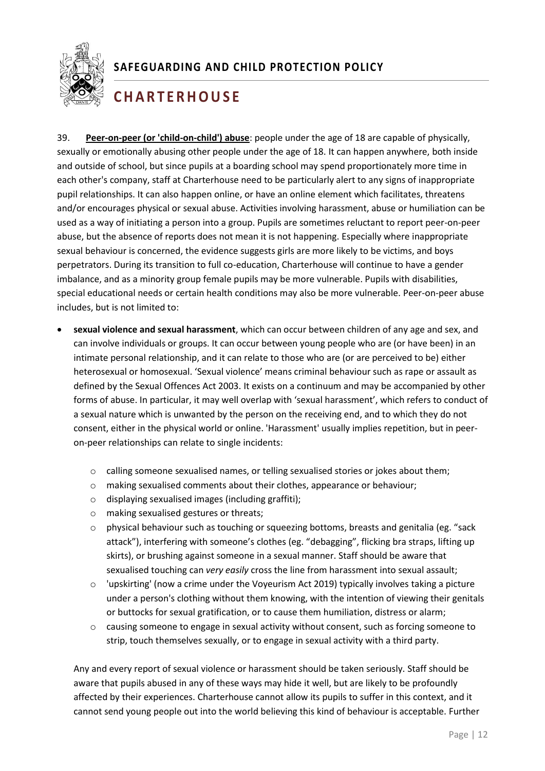

## **C H A R T E R H O U S E**

39. **Peer-on-peer (or 'child-on-child') abuse**: people under the age of 18 are capable of physically, sexually or emotionally abusing other people under the age of 18. It can happen anywhere, both inside and outside of school, but since pupils at a boarding school may spend proportionately more time in each other's company, staff at Charterhouse need to be particularly alert to any signs of inappropriate pupil relationships. It can also happen online, or have an online element which facilitates, threatens and/or encourages physical or sexual abuse. Activities involving harassment, abuse or humiliation can be used as a way of initiating a person into a group. Pupils are sometimes reluctant to report peer-on-peer abuse, but the absence of reports does not mean it is not happening. Especially where inappropriate sexual behaviour is concerned, the evidence suggests girls are more likely to be victims, and boys perpetrators. During its transition to full co-education, Charterhouse will continue to have a gender imbalance, and as a minority group female pupils may be more vulnerable. Pupils with disabilities, special educational needs or certain health conditions may also be more vulnerable. Peer-on-peer abuse includes, but is not limited to:

- <span id="page-12-0"></span>• **sexual violence and sexual harassment**, which can occur between children of any age and sex, and can involve individuals or groups. It can occur between young people who are (or have been) in an intimate personal relationship, and it can relate to those who are (or are perceived to be) either heterosexual or homosexual. 'Sexual violence' means criminal behaviour such as rape or assault as defined by the Sexual Offences Act 2003. It exists on a continuum and may be accompanied by other forms of abuse. In particular, it may well overlap with 'sexual harassment', which refers to conduct of a sexual nature which is unwanted by the person on the receiving end, and to which they do not consent, either in the physical world or online. 'Harassment' usually implies repetition, but in peeron-peer relationships can relate to single incidents:
	- o calling someone sexualised names, or telling sexualised stories or jokes about them;
	- o making sexualised comments about their clothes, appearance or behaviour;
	- o displaying sexualised images (including graffiti);
	- o making sexualised gestures or threats;
	- $\circ$  physical behaviour such as touching or squeezing bottoms, breasts and genitalia (eg. "sack attack"), interfering with someone's clothes (eg. "debagging", flicking bra straps, lifting up skirts), or brushing against someone in a sexual manner. Staff should be aware that sexualised touching can *very easily* cross the line from harassment into sexual assault;
	- $\circ$  'upskirting' (now a crime under the Voyeurism Act 2019) typically involves taking a picture under a person's clothing without them knowing, with the intention of viewing their genitals or buttocks for sexual gratification, or to cause them humiliation, distress or alarm;
	- $\circ$  causing someone to engage in sexual activity without consent, such as forcing someone to strip, touch themselves sexually, or to engage in sexual activity with a third party.

Any and every report of sexual violence or harassment should be taken seriously. Staff should be aware that pupils abused in any of these ways may hide it well, but are likely to be profoundly affected by their experiences. Charterhouse cannot allow its pupils to suffer in this context, and it cannot send young people out into the world believing this kind of behaviour is acceptable. Further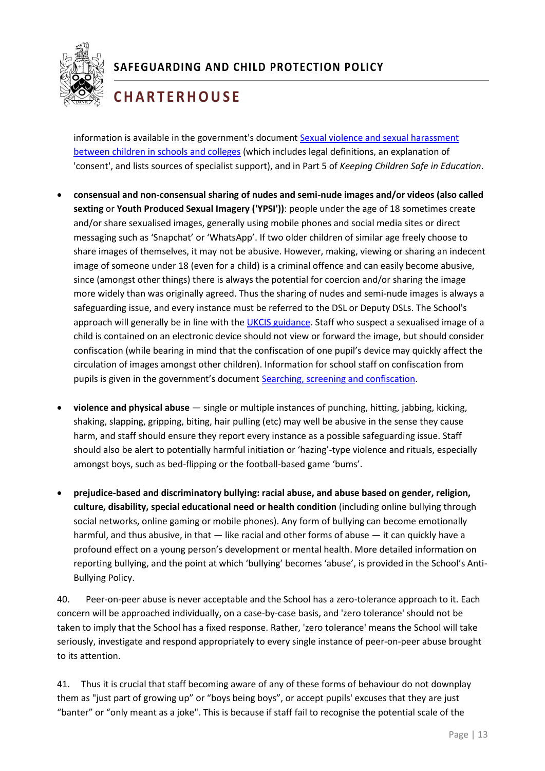

# **C H A R T E R H O U S E**

information is available in the government's document [Sexual violence and sexual harassment](https://www.gov.uk/government/uploads/system/uploads/attachment_data/file/667862/Sexual_Harassment_and_Sexual_Violence_-_Advice.pdf)  between children [in schools and colleges](https://www.gov.uk/government/uploads/system/uploads/attachment_data/file/667862/Sexual_Harassment_and_Sexual_Violence_-_Advice.pdf) (which includes legal definitions, an explanation of 'consent', and lists sources of specialist support), and in Part 5 of *Keeping Children Safe in Education*.

- <span id="page-13-0"></span>• **consensual and non-consensual sharing of nudes and semi-nude images and/or videos (also called sexting** or **Youth Produced Sexual Imagery ('YPSI'))**: people under the age of 18 sometimes create and/or share sexualised images, generally using mobile phones and social media sites or direct messaging such as 'Snapchat' or 'WhatsApp'. If two older children of similar age freely choose to share images of themselves, it may not be abusive. However, making, viewing or sharing an indecent image of someone under 18 (even for a child) is a criminal offence and can easily become abusive, since (amongst other things) there is always the potential for coercion and/or sharing the image more widely than was originally agreed. Thus the sharing of nudes and semi-nude images is always a safeguarding issue, and every instance must be referred to the DSL or Deputy DSLs. The School's approach will generally be in line with the [UKCIS guidance.](https://www.gov.uk/government/publications/sharing-nudes-and-semi-nudes-advice-for-education-settings-working-with-children-and-young-people) Staff who suspect a sexualised image of a child is contained on an electronic device should not view or forward the image, but should consider confiscation (while bearing in mind that the confiscation of one pupil's device may quickly affect the circulation of images amongst other children). Information for school staff on confiscation from pupils is given in the government's document [Searching, screening and confiscation.](https://assets.publishing.service.gov.uk/government/uploads/system/uploads/attachment_data/file/674416/Searching_screening_and_confiscation.pdf)
- <span id="page-13-1"></span>• **violence and physical abuse** — single or multiple instances of punching, hitting, jabbing, kicking, shaking, slapping, gripping, biting, hair pulling (etc) may well be abusive in the sense they cause harm, and staff should ensure they report every instance as a possible safeguarding issue. Staff should also be alert to potentially harmful initiation or 'hazing'-type violence and rituals, especially amongst boys, such as bed-flipping or the football-based game 'bums'.
- <span id="page-13-2"></span>• **prejudice-based and discriminatory bullying: racial abuse, and abuse based on gender, religion, culture, disability, special educational need or health condition** (including online bullying through social networks, online gaming or mobile phones). Any form of bullying can become emotionally harmful, and thus abusive, in that — like racial and other forms of abuse — it can quickly have a profound effect on a young person's development or mental health. More detailed information on reporting bullying, and the point at which 'bullying' becomes 'abuse', is provided in the School's Anti-Bullying Policy.

40. Peer-on-peer abuse is never acceptable and the School has a zero-tolerance approach to it. Each concern will be approached individually, on a case-by-case basis, and 'zero tolerance' should not be taken to imply that the School has a fixed response. Rather, 'zero tolerance' means the School will take seriously, investigate and respond appropriately to every single instance of peer-on-peer abuse brought to its attention.

41. Thus it is crucial that staff becoming aware of any of these forms of behaviour do not downplay them as "just part of growing up" or "boys being boys", or accept pupils' excuses that they are just "banter" or "only meant as a joke". This is because if staff fail to recognise the potential scale of the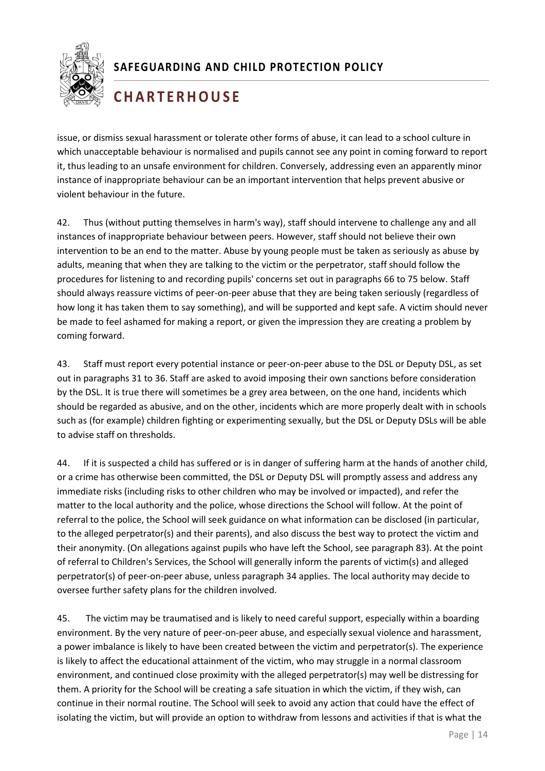

## **C H A R T E R H O U S E**

issue, or dismiss sexual harassment or tolerate other forms of abuse, it can lead to a school culture in which unacceptable behaviour is normalised and pupils cannot see any point in coming forward to report it, thus leading to an unsafe environment for children. Conversely, addressing even an apparently minor instance of inappropriate behaviour can be an important intervention that helps prevent abusive or violent behaviour in the future.

42. Thus (without putting themselves in harm's way), staff should intervene to challenge any and all instances of inappropriate behaviour between peers. However, staff should not believe their own intervention to be an end to the matter. Abuse by young people must be taken as seriously as abuse by adults, meaning that when they are talking to the victim or the perpetrator, staff should follow the procedures for listening to and recording pupils' concerns set out in paragraphs 66 to 75 below. Staff should always reassure victims of peer-on-peer abuse that they are being taken seriously (regardless of how long it has taken them to say something), and will be supported and kept safe. A victim should never be made to feel ashamed for making a report, or given the impression they are creating a problem by coming forward.

43. Staff must report every potential instance or peer-on-peer abuse to the DSL or Deputy DSL, as set out in paragraphs 31 to 36. Staff are asked to avoid imposing their own sanctions before consideration by the DSL. It is true there will sometimes be a grey area between, on the one hand, incidents which should be regarded as abusive, and on the other, incidents which are more properly dealt with in schools such as (for example) children fighting or experimenting sexually, but the DSL or Deputy DSLs will be able to advise staff on thresholds.

1 their anonymity. (On allegations against pupils who have left the School, see paragraph 83). At the point 44. If it is suspected a child has suffered or is in danger of suffering harm at the hands of another child, or a crime has otherwise been committed, the DSL or Deputy DSL will promptly assess and address any immediate risks (including risks to other children who may be involved or impacted), and refer the matter to the local authority and the police, whose directions the School will follow. At the point of referral to the police, the School will seek guidance on what information can be disclosed (in particular, to the alleged perpetrator(s) and their parents), and also discuss the best way to protect the victim and of referral to Children's Services, the School will generally inform the parents of victim(s) and alleged perpetrator(s) of peer-on-peer abuse, unless paragraph 34 applies. The local authority may decide to oversee further safety plans for the children involved.

45. The victim may be traumatised and is likely to need careful support, especially within a boarding environment. By the very nature of peer-on-peer abuse, and especially sexual violence and harassment, a power imbalance is likely to have been created between the victim and perpetrator(s). The experience is likely to affect the educational attainment of the victim, who may struggle in a normal classroom environment, and continued close proximity with the alleged perpetrator(s) may well be distressing for them. A priority for the School will be creating a safe situation in which the victim, if they wish, can continue in their normal routine. The School will seek to avoid any action that could have the effect of isolating the victim, but will provide an option to withdraw from lessons and activities if that is what the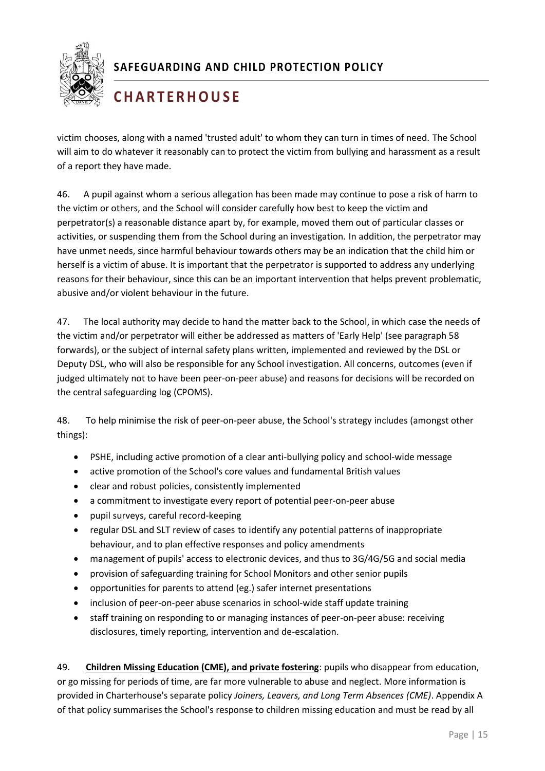

## **C H A R T E R H O U S E**

victim chooses, along with a named 'trusted adult' to whom they can turn in times of need. The School will aim to do whatever it reasonably can to protect the victim from bullying and harassment as a result of a report they have made.

46. A pupil against whom a serious allegation has been made may continue to pose a risk of harm to the victim or others, and the School will consider carefully how best to keep the victim and perpetrator(s) a reasonable distance apart by, for example, moved them out of particular classes or activities, or suspending them from the School during an investigation. In addition, the perpetrator may have unmet needs, since harmful behaviour towards others may be an indication that the child him or herself is a victim of abuse. It is important that the perpetrator is supported to address any underlying reasons for their behaviour, since this can be an important intervention that helps prevent problematic, abusive and/or violent behaviour in the future.

47. The local authority may decide to hand the matter back to the School, in which case the needs of the victim and/or perpetrator will either be addressed as matters of 'Early Help' (see paragraph 58 forwards), or the subject of internal safety plans written, implemented and reviewed by the DSL or Deputy DSL, who will also be responsible for any School investigation. All concerns, outcomes (even if judged ultimately not to have been peer-on-peer abuse) and reasons for decisions will be recorded on the central safeguarding log (CPOMS).

48. To help minimise the risk of peer-on-peer abuse, the School's strategy includes (amongst other things):

- PSHE, including active promotion of a clear anti-bullying policy and school-wide message
- active promotion of the School's core values and fundamental British values
- clear and robust policies, consistently implemented
- a commitment to investigate every report of potential peer-on-peer abuse
- pupil surveys, careful record-keeping
- regular DSL and SLT review of cases to identify any potential patterns of inappropriate behaviour, and to plan effective responses and policy amendments
- management of pupils' access to electronic devices, and thus to 3G/4G/5G and social media
- provision of safeguarding training for School Monitors and other senior pupils
- opportunities for parents to attend (eg.) safer internet presentations
- inclusion of peer-on-peer abuse scenarios in school-wide staff update training
- staff training on responding to or managing instances of peer-on-peer abuse: receiving disclosures, timely reporting, intervention and de-escalation.

<span id="page-15-0"></span>49. **Children Missing Education (CME), and private fostering**: pupils who disappear from education, or go missing for periods of time, are far more vulnerable to abuse and neglect. More information is provided in Charterhouse's separate policy *Joiners, Leavers, and Long Term Absences (CME)*. Appendix A of that policy summarises the School's response to children missing education and must be read by all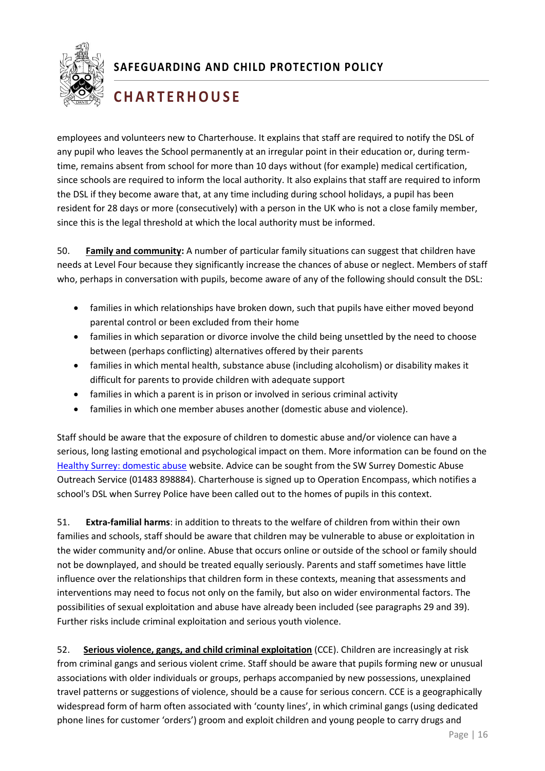

## **C H A R T E R H O U S E**

employees and volunteers new to Charterhouse. It explains that staff are required to notify the DSL of any pupil who leaves the School permanently at an irregular point in their education or, during termtime, remains absent from school for more than 10 days without (for example) medical certification, since schools are required to inform the local authority. It also explains that staff are required to inform the DSL if they become aware that, at any time including during school holidays, a pupil has been resident for 28 days or more (consecutively) with a person in the UK who is not a close family member, since this is the legal threshold at which the local authority must be informed.

<span id="page-16-0"></span>50. **Family and community:** A number of particular family situations can suggest that children have needs at Level Four because they significantly increase the chances of abuse or neglect. Members of staff who, perhaps in conversation with pupils, become aware of any of the following should consult the DSL:

- families in which relationships have broken down, such that pupils have either moved beyond parental control or been excluded from their home
- families in which separation or divorce involve the child being unsettled by the need to choose between (perhaps conflicting) alternatives offered by their parents
- families in which mental health, substance abuse (including alcoholism) or disability makes it difficult for parents to provide children with adequate support
- families in which a parent is in prison or involved in serious criminal activity
- families in which one member abuses another (domestic abuse and violence).

Staff should be aware that the exposure of children to domestic abuse and/or violence can have a serious, long lasting emotional and psychological impact on them. More information can be found on the [Healthy Surrey: domestic abuse](https://www.healthysurrey.org.uk/your-health/domestic-abuse) website. Advice can be sought from the SW Surrey Domestic Abuse Outreach Service (01483 898884). Charterhouse is signed up to Operation Encompass, which notifies a school's DSL when Surrey Police have been called out to the homes of pupils in this context.

1 families and schools, staff should be aware that children may be vulnerable to abuse or exploitation in 51. **Extra-familial harms**: in addition to threats to the welfare of children from within their own the wider community and/or online. Abuse that occurs online or outside of the school or family should not be downplayed, and should be treated equally seriously. Parents and staff sometimes have little influence over the relationships that children form in these contexts, meaning that assessments and interventions may need to focus not only on the family, but also on wider environmental factors. The possibilities of sexual exploitation and abuse have already been included (see paragraphs 29 and 39). Further risks include criminal exploitation and serious youth violence.

<span id="page-16-1"></span>52. **Serious violence, gangs, and child criminal exploitation** (CCE). Children are increasingly at risk from criminal gangs and serious violent crime. Staff should be aware that pupils forming new or unusual associations with older individuals or groups, perhaps accompanied by new possessions, unexplained travel patterns or suggestions of violence, should be a cause for serious concern. CCE is a geographically widespread form of harm often associated with 'county lines', in which criminal gangs (using dedicated phone lines for customer 'orders') groom and exploit children and young people to carry drugs and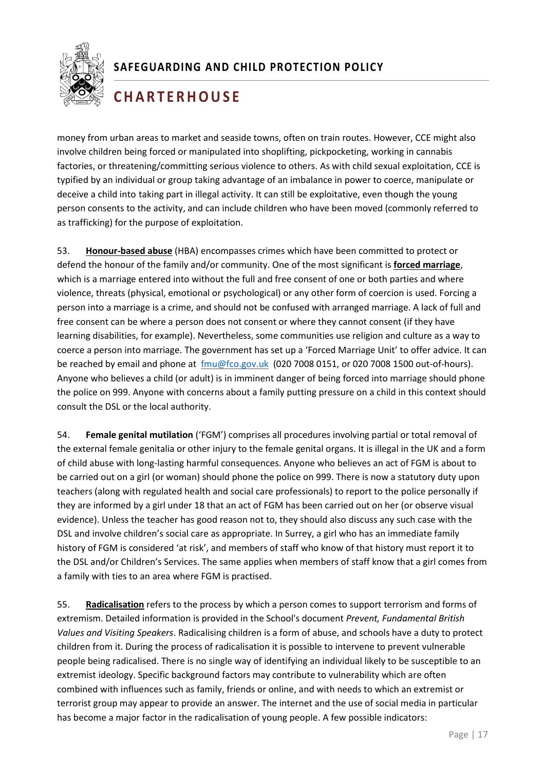

## **C H A R T E R H O U S E**

money from urban areas to market and seaside towns, often on train routes. However, CCE might also involve children being forced or manipulated into shoplifting, pickpocketing, working in cannabis factories, or threatening/committing serious violence to others. As with child sexual exploitation, CCE is typified by an individual or group taking advantage of an imbalance in power to coerce, manipulate or deceive a child into taking part in illegal activity. It can still be exploitative, even though the young person consents to the activity, and can include children who have been moved (commonly referred to as trafficking) for the purpose of exploitation.

<span id="page-17-0"></span>53. **Honour-based abuse** (HBA) encompasses crimes which have been committed to protect or defend the honour of the family and/or community. One of the most significant is **forced marriage**, which is a marriage entered into without the full and free consent of one or both parties and where violence, threats (physical, emotional or psychological) or any other form of coercion is used. Forcing a person into a marriage is a crime, and should not be confused with arranged marriage. A lack of full and free consent can be where a person does not consent or where they cannot consent (if they have learning disabilities, for example). Nevertheless, some communities use religion and culture as a way to coerce a person into marriage. The government has set up a 'Forced Marriage Unit' to offer advice. It can be reached by email and phone at [fmu@fco.gov.uk](mailto:fmu@fco.gov.uk) (020 7008 0151, or 020 7008 1500 out-of-hours). Anyone who believes a child (or adult) is in imminent danger of being forced into marriage should phone the police on 999. Anyone with concerns about a family putting pressure on a child in this context should consult the DSL or the local authority.

<span id="page-17-1"></span>1 history of FGM is considered 'at risk', and members of staff who know of that history must report it to 54. **Female genital mutilation** ('FGM') comprises all procedures involving partial or total removal of the external female genitalia or other injury to the female genital organs. It is illegal in the UK and a form of child abuse with long-lasting harmful consequences. Anyone who believes an act of FGM is about to be carried out on a girl (or woman) should phone the police on 999. There is now a statutory duty upon teachers (along with regulated health and social care professionals) to report to the police personally if they are informed by a girl under 18 that an act of FGM has been carried out on her (or observe visual evidence). Unless the teacher has good reason not to, they should also discuss any such case with the DSL and involve children's social care as appropriate. In Surrey, a girl who has an immediate family the DSL and/or Children's Services. The same applies when members of staff know that a girl comes from a family with ties to an area where FGM is practised.

<span id="page-17-2"></span>55. **Radicalisation** refers to the process by which a person comes to support terrorism and forms of extremism. Detailed information is provided in the School's document *Prevent, Fundamental British Values and Visiting Speakers*. Radicalising children is a form of abuse, and schools have a duty to protect children from it. During the process of radicalisation it is possible to intervene to prevent vulnerable people being radicalised. There is no single way of identifying an individual likely to be susceptible to an extremist ideology. Specific background factors may contribute to vulnerability which are often combined with influences such as family, friends or online, and with needs to which an extremist or terrorist group may appear to provide an answer. The internet and the use of social media in particular has become a major factor in the radicalisation of young people. A few possible indicators: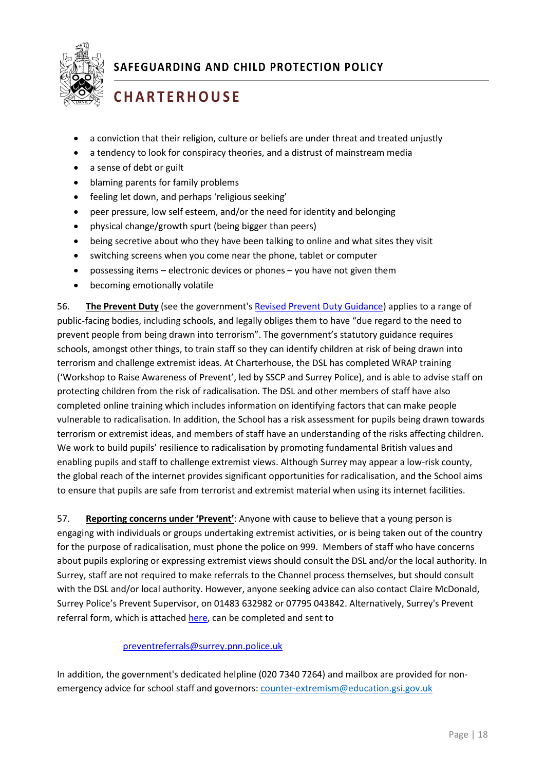

# **C H A R T E R H O U S E**

- a conviction that their religion, culture or beliefs are under threat and treated unjustly
- a tendency to look for conspiracy theories, and a distrust of mainstream media
- a sense of debt or guilt
- blaming parents for family problems
- feeling let down, and perhaps 'religious seeking'
- peer pressure, low self esteem, and/or the need for identity and belonging
- physical change/growth spurt (being bigger than peers)
- being secretive about who they have been talking to online and what sites they visit
- switching screens when you come near the phone, tablet or computer
- possessing items electronic devices or phones you have not given them
- becoming emotionally volatile

56. **The Prevent Duty** (see the government's [Revised Prevent Duty Guidance\)](https://www.gov.uk/government/publications/prevent-duty-guidance/revised-prevent-duty-guidance-for-england-and-wales#e-sector-specific-guidance) applies to a range of public-facing bodies, including schools, and legally obliges them to have "due regard to the need to prevent people from being drawn into terrorism". The government's statutory guidance requires schools, amongst other things, to train staff so they can identify children at risk of being drawn into terrorism and challenge extremist ideas. At Charterhouse, the DSL has completed WRAP training ('Workshop to Raise Awareness of Prevent', led by SSCP and Surrey Police), and is able to advise staff on protecting children from the risk of radicalisation. The DSL and other members of staff have also completed online training which includes information on identifying factors that can make people vulnerable to radicalisation. In addition, the School has a risk assessment for pupils being drawn towards terrorism or extremist ideas, and members of staff have an understanding of the risks affecting children. We work to build pupils' resilience to radicalisation by promoting fundamental British values and enabling pupils and staff to challenge extremist views. Although Surrey may appear a low-risk county, the global reach of the internet provides significant opportunities for radicalisation, and the School aims to ensure that pupils are safe from terrorist and extremist material when using its internet facilities.

1 for the purpose of radicalisation, must phone the police on 999. Members of staff who have concerns 57. **Reporting concerns under 'Prevent'**: Anyone with cause to believe that a young person is engaging with individuals or groups undertaking extremist activities, or is being taken out of the country about pupils exploring or expressing extremist views should consult the DSL and/or the local authority. In Surrey, staff are not required to make referrals to the Channel process themselves, but should consult with the DSL and/or local authority. However, anyone seeking advice can also contact Claire McDonald, Surrey Police's Prevent Supervisor, on 01483 632982 or 07795 043842. Alternatively, Surrey's Prevent referral form, which is attached [here,](https://www.surreyscb.org.uk/resources-category/sscbmultiagencyforms/) can be completed and sent to

#### [preventreferrals@surrey.pnn.police.uk](mailto:preventreferrals@surrey.pnn.police.uk)

In addition, the government's dedicated helpline (020 7340 7264) and mailbox are provided for nonemergency advice for school staff and governors[: counter-extremism@education.gsi.gov.uk](mailto:counter-extremism@education.gsi.gov.uk)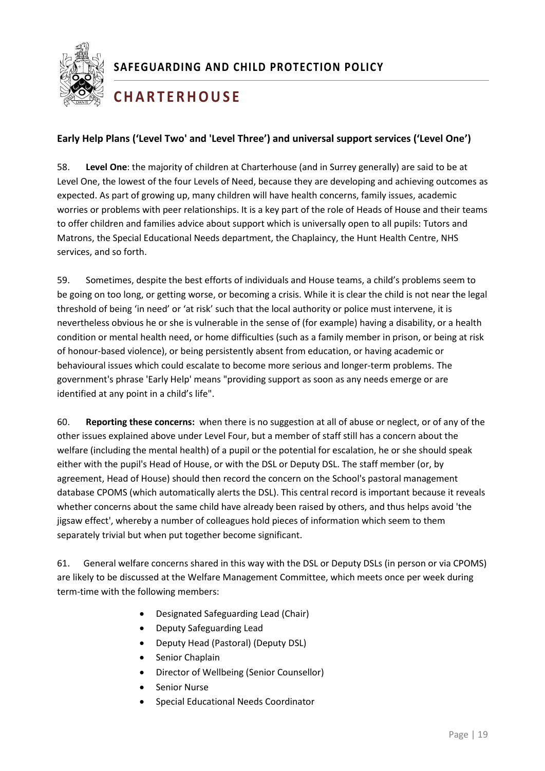

## **C H A R T E R H O U S E**

#### <span id="page-19-0"></span>**Early Help Plans ('Level Two' and 'Level Three') and universal support services ('Level One')**

58. **Level One**: the majority of children at Charterhouse (and in Surrey generally) are said to be at Level One, the lowest of the four Levels of Need, because they are developing and achieving outcomes as expected. As part of growing up, many children will have health concerns, family issues, academic worries or problems with peer relationships. It is a key part of the role of Heads of House and their teams to offer children and families advice about support which is universally open to all pupils: Tutors and Matrons, the Special Educational Needs department, the Chaplaincy, the Hunt Health Centre, NHS services, and so forth.

59. Sometimes, despite the best efforts of individuals and House teams, a child's problems seem to be going on too long, or getting worse, or becoming a crisis. While it is clear the child is not near the legal threshold of being 'in need' or 'at risk' such that the local authority or police must intervene, it is nevertheless obvious he or she is vulnerable in the sense of (for example) having a disability, or a health condition or mental health need, or home difficulties (such as a family member in prison, or being at risk of honour-based violence), or being persistently absent from education, or having academic or behavioural issues which could escalate to become more serious and longer-term problems. The government's phrase 'Early Help' means "providing support as soon as any needs emerge or are identified at any point in a child's life".

separately trivial but when put together become significant.<br>. 60. **Reporting these concerns:** when there is no suggestion at all of abuse or neglect, or of any of the other issues explained above under Level Four, but a member of staff still has a concern about the welfare (including the mental health) of a pupil or the potential for escalation, he or she should speak either with the pupil's Head of House, or with the DSL or Deputy DSL. The staff member (or, by agreement, Head of House) should then record the concern on the School's pastoral management database CPOMS (which automatically alerts the DSL). This central record is important because it reveals whether concerns about the same child have already been raised by others, and thus helps avoid 'the jigsaw effect', whereby a number of colleagues hold pieces of information which seem to them

61. General welfare concerns shared in this way with the DSL or Deputy DSLs (in person or via CPOMS) are likely to be discussed at the Welfare Management Committee, which meets once per week during term-time with the following members:

- Designated Safeguarding Lead (Chair)
- Deputy Safeguarding Lead
- Deputy Head (Pastoral) (Deputy DSL)
- Senior Chaplain
- Director of Wellbeing (Senior Counsellor)
- Senior Nurse
- Special Educational Needs Coordinator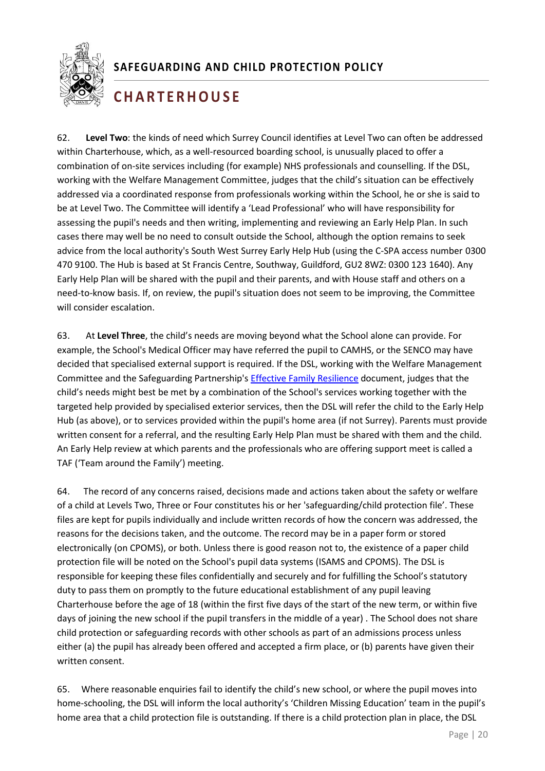

## **C H A R T E R H O U S E**

62. **Level Two**: the kinds of need which Surrey Council identifies at Level Two can often be addressed within Charterhouse, which, as a well-resourced boarding school, is unusually placed to offer a combination of on-site services including (for example) NHS professionals and counselling. If the DSL, working with the Welfare Management Committee, judges that the child's situation can be effectively addressed via a coordinated response from professionals working within the School, he or she is said to be at Level Two. The Committee will identify a 'Lead Professional' who will have responsibility for assessing the pupil's needs and then writing, implementing and reviewing an Early Help Plan. In such cases there may well be no need to consult outside the School, although the option remains to seek advice from the local authority's South West Surrey Early Help Hub (using the C-SPA access number 0300 470 9100. The Hub is based at St Francis Centre, Southway, Guildford, GU2 8WZ: 0300 123 1640). Any Early Help Plan will be shared with the pupil and their parents, and with House staff and others on a need-to-know basis. If, on review, the pupil's situation does not seem to be improving, the Committee will consider escalation.

63. At **Level Three**, the child's needs are moving beyond what the School alone can provide. For example, the School's Medical Officer may have referred the pupil to CAMHS, or the SENCO may have decided that specialised external support is required. If the DSL, working with the Welfare Management Committee and the Safeguarding Partnership's [Effective Family Resilience](https://www.surreyscb.org.uk/wp-content/uploads/2018/12/Effective-family-resilience-SSCB-Final-March-2019-1.pdf) document, judges that the child's needs might best be met by a combination of the School's services working together with the targeted help provided by specialised exterior services, then the DSL will refer the child to the Early Help Hub (as above), or to services provided within the pupil's home area (if not Surrey). Parents must provide written consent for a referral, and the resulting Early Help Plan must be shared with them and the child. An Early Help review at which parents and the professionals who are offering support meet is called a TAF ('Team around the Family') meeting.

1 electronically (on CPOMS), or both. Unless there is good reason not to, the existence of a paper child 64. The record of any concerns raised, decisions made and actions taken about the safety or welfare of a child at Levels Two, Three or Four constitutes his or her 'safeguarding/child protection file'. These files are kept for pupils individually and include written records of how the concern was addressed, the reasons for the decisions taken, and the outcome. The record may be in a paper form or stored protection file will be noted on the School's pupil data systems (ISAMS and CPOMS). The DSL is responsible for keeping these files confidentially and securely and for fulfilling the School's statutory duty to pass them on promptly to the future educational establishment of any pupil leaving Charterhouse before the age of 18 (within the first five days of the start of the new term, or within five days of joining the new school if the pupil transfers in the middle of a year) . The School does not share child protection or safeguarding records with other schools as part of an admissions process unless either (a) the pupil has already been offered and accepted a firm place, or (b) parents have given their written consent.

65. Where reasonable enquiries fail to identify the child's new school, or where the pupil moves into home-schooling, the DSL will inform the local authority's 'Children Missing Education' team in the pupil's home area that a child protection file is outstanding. If there is a child protection plan in place, the DSL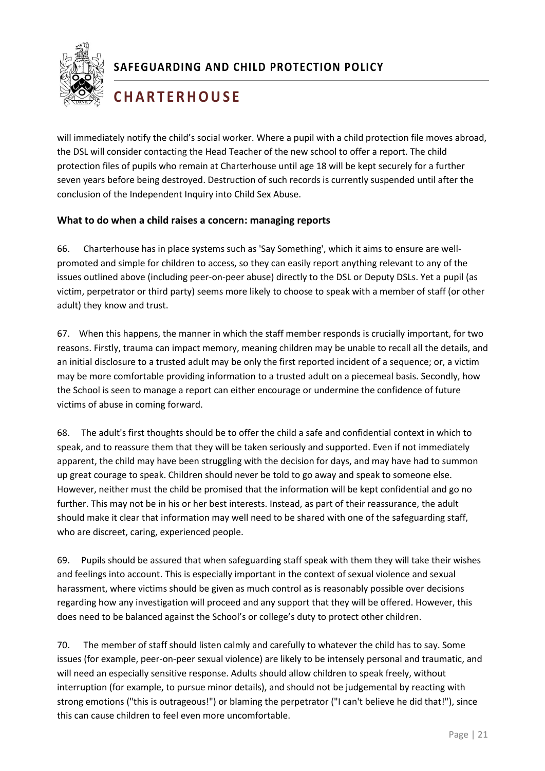

## **C H A R T E R H O U S E**

will immediately notify the child's social worker. Where a pupil with a child protection file moves abroad, the DSL will consider contacting the Head Teacher of the new school to offer a report. The child protection files of pupils who remain at Charterhouse until age 18 will be kept securely for a further seven years before being destroyed. Destruction of such records is currently suspended until after the conclusion of the Independent Inquiry into Child Sex Abuse.

#### **What to do when a child raises a concern: managing reports**

66. Charterhouse has in place systems such as 'Say Something', which it aims to ensure are wellpromoted and simple for children to access, so they can easily report anything relevant to any of the issues outlined above (including peer-on-peer abuse) directly to the DSL or Deputy DSLs. Yet a pupil (as victim, perpetrator or third party) seems more likely to choose to speak with a member of staff (or other adult) they know and trust.

67. When this happens, the manner in which the staff member responds is crucially important, for two reasons. Firstly, trauma can impact memory, meaning children may be unable to recall all the details, and an initial disclosure to a trusted adult may be only the first reported incident of a sequence; or, a victim may be more comfortable providing information to a trusted adult on a piecemeal basis. Secondly, how the School is seen to manage a report can either encourage or undermine the confidence of future victims of abuse in coming forward.

68. The adult's first thoughts should be to offer the child a safe and confidential context in which to speak, and to reassure them that they will be taken seriously and supported. Even if not immediately apparent, the child may have been struggling with the decision for days, and may have had to summon up great courage to speak. Children should never be told to go away and speak to someone else. However, neither must the child be promised that the information will be kept confidential and go no further. This may not be in his or her best interests. Instead, as part of their reassurance, the adult should make it clear that information may well need to be shared with one of the safeguarding staff, who are discreet, caring, experienced people.

69. Pupils should be assured that when safeguarding staff speak with them they will take their wishes and feelings into account. This is especially important in the context of sexual violence and sexual harassment, where victims should be given as much control as is reasonably possible over decisions regarding how any investigation will proceed and any support that they will be offered. However, this does need to be balanced against the School's or college's duty to protect other children.

70. The member of staff should listen calmly and carefully to whatever the child has to say. Some issues (for example, peer-on-peer sexual violence) are likely to be intensely personal and traumatic, and will need an especially sensitive response. Adults should allow children to speak freely, without interruption (for example, to pursue minor details), and should not be judgemental by reacting with strong emotions ("this is outrageous!") or blaming the perpetrator ("I can't believe he did that!"), since this can cause children to feel even more uncomfortable.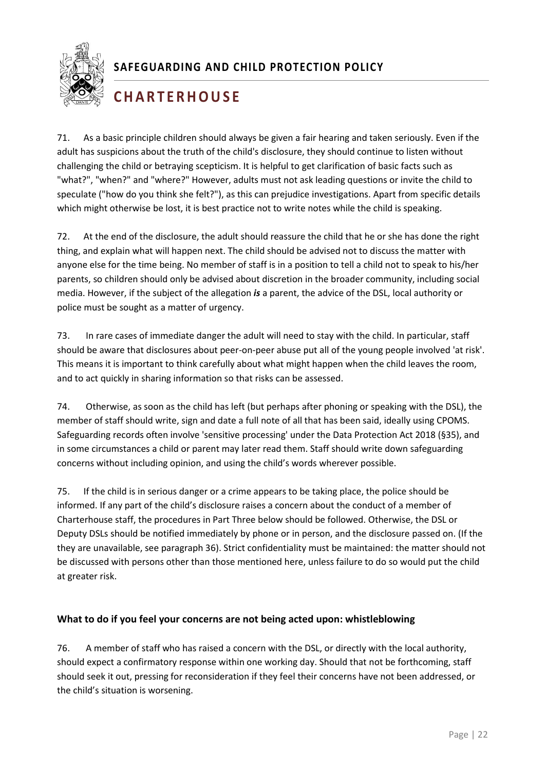

## **C H A R T E R H O U S E**

71. As a basic principle children should always be given a fair hearing and taken seriously. Even if the adult has suspicions about the truth of the child's disclosure, they should continue to listen without challenging the child or betraying scepticism. It is helpful to get clarification of basic facts such as "what?", "when?" and "where?" However, adults must not ask leading questions or invite the child to speculate ("how do you think she felt?"), as this can prejudice investigations. Apart from specific details which might otherwise be lost, it is best practice not to write notes while the child is speaking.

72. At the end of the disclosure, the adult should reassure the child that he or she has done the right thing, and explain what will happen next. The child should be advised not to discuss the matter with anyone else for the time being. No member of staff is in a position to tell a child not to speak to his/her parents, so children should only be advised about discretion in the broader community, including social media. However, if the subject of the allegation *is* a parent, the advice of the DSL, local authority or police must be sought as a matter of urgency.

73. In rare cases of immediate danger the adult will need to stay with the child. In particular, staff should be aware that disclosures about peer-on-peer abuse put all of the young people involved 'at risk'. This means it is important to think carefully about what might happen when the child leaves the room, and to act quickly in sharing information so that risks can be assessed.

74. Otherwise, as soon as the child has left (but perhaps after phoning or speaking with the DSL), the member of staff should write, sign and date a full note of all that has been said, ideally using CPOMS. Safeguarding records often involve 'sensitive processing' under the Data Protection Act 2018 (§35), and in some circumstances a child or parent may later read them. Staff should write down safeguarding concerns without including opinion, and using the child's words wherever possible.

1 they are unavailable, see paragraph 36). Strict confidentiality must be maintained: the matter should not 75. If the child is in serious danger or a crime appears to be taking place, the police should be informed. If any part of the child's disclosure raises a concern about the conduct of a member of Charterhouse staff, the procedures in Part Three below should be followed. Otherwise, the DSL or Deputy DSLs should be notified immediately by phone or in person, and the disclosure passed on. (If the be discussed with persons other than those mentioned here, unless failure to do so would put the child at greater risk.

#### <span id="page-22-0"></span>**What to do if you feel your concerns are not being acted upon: whistleblowing**

76. A member of staff who has raised a concern with the DSL, or directly with the local authority, should expect a confirmatory response within one working day. Should that not be forthcoming, staff should seek it out, pressing for reconsideration if they feel their concerns have not been addressed, or the child's situation is worsening.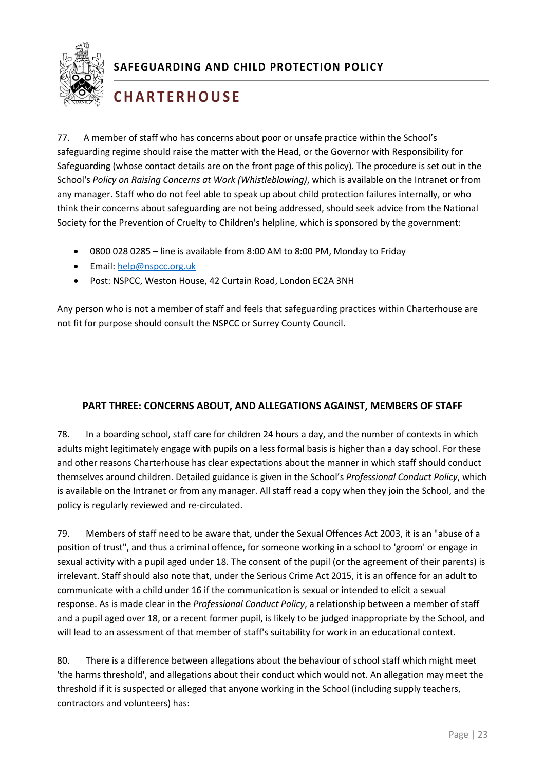

## **C H A R T E R H O U S E**

77. A member of staff who has concerns about poor or unsafe practice within the School's safeguarding regime should raise the matter with the Head, or the Governor with Responsibility for Safeguarding (whose contact details are on the front page of this policy). The procedure is set out in the School's *Policy on Raising Concerns at Work (Whistleblowing)*, which is available on the Intranet or from any manager. Staff who do not feel able to speak up about child protection failures internally, or who think their concerns about safeguarding are not being addressed, should seek advice from the National Society for the Prevention of Cruelty to Children's helpline, which is sponsored by the government:

- 0800 028 0285 line is available from 8:00 AM to 8:00 PM, Monday to Friday
- Email: [help@nspcc.org.uk](mailto:help@nspcc.org.uk)
- Post: NSPCC, Weston House, 42 Curtain Road, London EC2A 3NH

Any person who is not a member of staff and feels that safeguarding practices within Charterhouse are not fit for purpose should consult the NSPCC or Surrey County Council.

#### <span id="page-23-0"></span>**PART THREE: CONCERNS ABOUT, AND ALLEGATIONS AGAINST, MEMBERS OF STAFF**

78. In a boarding school, staff care for children 24 hours a day, and the number of contexts in which adults might legitimately engage with pupils on a less formal basis is higher than a day school. For these and other reasons Charterhouse has clear expectations about the manner in which staff should conduct themselves around children. Detailed guidance is given in the School's *Professional Conduct Policy*, which is available on the Intranet or from any manager. All staff read a copy when they join the School, and the policy is regularly reviewed and re-circulated.

1 position of trust", and thus a criminal offence, for someone working in a school to 'groom' or engage in 79. Members of staff need to be aware that, under the Sexual Offences Act 2003, it is an "abuse of a sexual activity with a pupil aged under 18. The consent of the pupil (or the agreement of their parents) is irrelevant. Staff should also note that, under the Serious Crime Act 2015, it is an offence for an adult to communicate with a child under 16 if the communication is sexual or intended to elicit a sexual response. As is made clear in the *Professional Conduct Policy*, a relationship between a member of staff and a pupil aged over 18, or a recent former pupil, is likely to be judged inappropriate by the School, and will lead to an assessment of that member of staff's suitability for work in an educational context.

80. There is a difference between allegations about the behaviour of school staff which might meet 'the harms threshold', and allegations about their conduct which would not. An allegation may meet the threshold if it is suspected or alleged that anyone working in the School (including supply teachers, contractors and volunteers) has: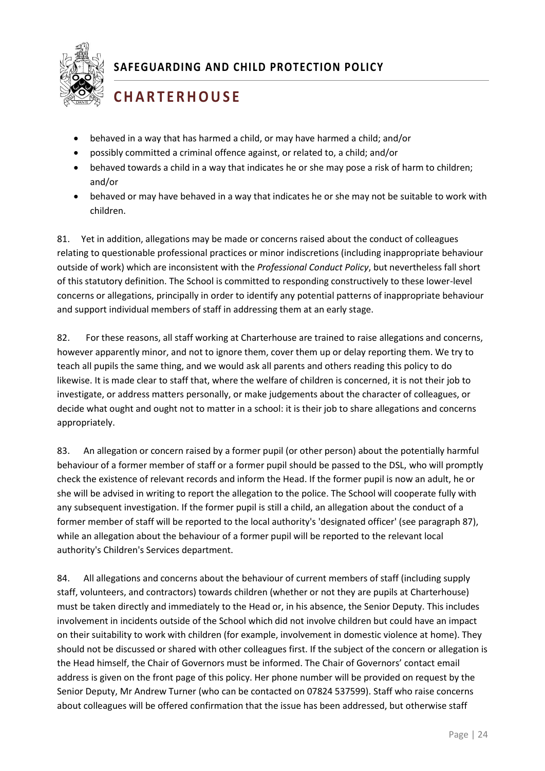

## **C H A R T E R H O U S E**

- behaved in a way that has harmed a child, or may have harmed a child; and/or
- possibly committed a criminal offence against, or related to, a child; and/or
- behaved towards a child in a way that indicates he or she may pose a risk of harm to children; and/or
- behaved or may have behaved in a way that indicates he or she may not be suitable to work with children.

81. Yet in addition, allegations may be made or concerns raised about the conduct of colleagues relating to questionable professional practices or minor indiscretions (including inappropriate behaviour outside of work) which are inconsistent with the *Professional Conduct Policy*, but nevertheless fall short of this statutory definition. The School is committed to responding constructively to these lower-level concerns or allegations, principally in order to identify any potential patterns of inappropriate behaviour and support individual members of staff in addressing them at an early stage.

82. For these reasons, all staff working at Charterhouse are trained to raise allegations and concerns, however apparently minor, and not to ignore them, cover them up or delay reporting them. We try to teach all pupils the same thing, and we would ask all parents and others reading this policy to do likewise. It is made clear to staff that, where the welfare of children is concerned, it is not their job to investigate, or address matters personally, or make judgements about the character of colleagues, or decide what ought and ought not to matter in a school: it is their job to share allegations and concerns appropriately.

while an allegation about the behaviour of a former pupil will be reported to the relevant local<br>while in the little of the contract of the state of the contract of the contract of the contract of the contra 83. An allegation or concern raised by a former pupil (or other person) about the potentially harmful behaviour of a former member of staff or a former pupil should be passed to the DSL, who will promptly check the existence of relevant records and inform the Head. If the former pupil is now an adult, he or she will be advised in writing to report the allegation to the police. The School will cooperate fully with any subsequent investigation. If the former pupil is still a child, an allegation about the conduct of a former member of staff will be reported to the local authority's 'designated officer' (see paragraph 87), authority's Children's Services department.

84. All allegations and concerns about the behaviour of current members of staff (including supply staff, volunteers, and contractors) towards children (whether or not they are pupils at Charterhouse) must be taken directly and immediately to the Head or, in his absence, the Senior Deputy. This includes involvement in incidents outside of the School which did not involve children but could have an impact on their suitability to work with children (for example, involvement in domestic violence at home). They should not be discussed or shared with other colleagues first. If the subject of the concern or allegation is the Head himself, the Chair of Governors must be informed. The Chair of Governors' contact email address is given on the front page of this policy. Her phone number will be provided on request by the Senior Deputy, Mr Andrew Turner (who can be contacted on 07824 537599). Staff who raise concerns about colleagues will be offered confirmation that the issue has been addressed, but otherwise staff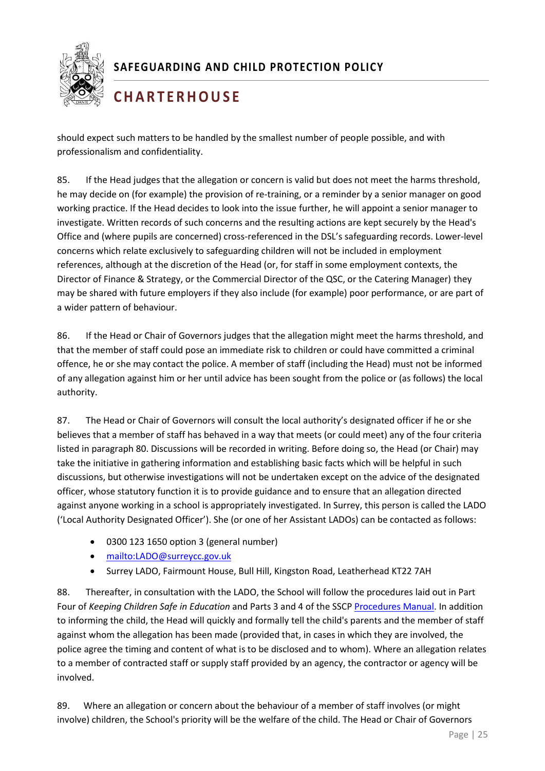

# **C H A R T E R H O U S E**

should expect such matters to be handled by the smallest number of people possible, and with professionalism and confidentiality.

85. If the Head judges that the allegation or concern is valid but does not meet the harms threshold, he may decide on (for example) the provision of re-training, or a reminder by a senior manager on good working practice. If the Head decides to look into the issue further, he will appoint a senior manager to investigate. Written records of such concerns and the resulting actions are kept securely by the Head's Office and (where pupils are concerned) cross-referenced in the DSL's safeguarding records. Lower-level concerns which relate exclusively to safeguarding children will not be included in employment references, although at the discretion of the Head (or, for staff in some employment contexts, the Director of Finance & Strategy, or the Commercial Director of the QSC, or the Catering Manager) they may be shared with future employers if they also include (for example) poor performance, or are part of a wider pattern of behaviour.

86. If the Head or Chair of Governors judges that the allegation might meet the harms threshold, and that the member of staff could pose an immediate risk to children or could have committed a criminal offence, he or she may contact the police. A member of staff (including the Head) must not be informed of any allegation against him or her until advice has been sought from the police or (as follows) the local authority.

87. The Head or Chair of Governors will consult the local authority's designated officer if he or she believes that a member of staff has behaved in a way that meets (or could meet) any of the four criteria listed in paragraph 80. Discussions will be recorded in writing. Before doing so, the Head (or Chair) may take the initiative in gathering information and establishing basic facts which will be helpful in such discussions, but otherwise investigations will not be undertaken except on the advice of the designated officer, whose statutory function it is to provide guidance and to ensure that an allegation directed against anyone working in a school is appropriately investigated. In Surrey, this person is called the LADO ('Local Authority Designated Officer'). She (or one of her Assistant LADOs) can be contacted as follows:

- 0300 123 1650 option 3 (general number)
- <mailto:LADO@surreycc.gov.uk>
- Surrey LADO, Fairmount House, Bull Hill, Kingston Road, Leatherhead KT22 7AH

88. Thereafter, in consultation with the LADO, the School will follow the procedures laid out in Part Four of *Keeping Children Safe in Education* and Parts 3 and 4 of the SSCP [Procedures Manual.](http://surreyscb.procedures.org.uk/page/contents#p1) In addition to informing the child, the Head will quickly and formally tell the child's parents and the member of staff against whom the allegation has been made (provided that, in cases in which they are involved, the police agree the timing and content of what is to be disclosed and to whom). Where an allegation relates to a member of contracted staff or supply staff provided by an agency, the contractor or agency will be involved.

89. Where an allegation or concern about the behaviour of a member of staff involves (or might involve) children, the School's priority will be the welfare of the child. The Head or Chair of Governors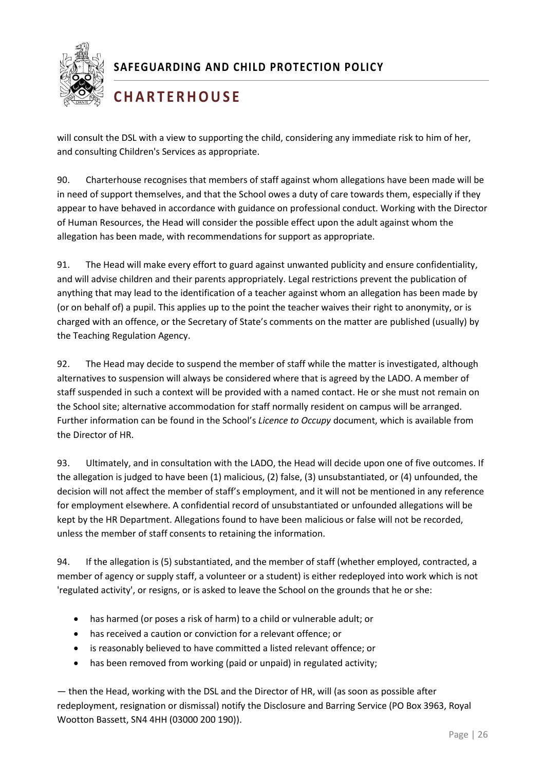

# **C H A R T E R H O U S E**

will consult the DSL with a view to supporting the child, considering any immediate risk to him of her, and consulting Children's Services as appropriate.

90. Charterhouse recognises that members of staff against whom allegations have been made will be in need of support themselves, and that the School owes a duty of care towards them, especially if they appear to have behaved in accordance with guidance on professional conduct. Working with the Director of Human Resources, the Head will consider the possible effect upon the adult against whom the allegation has been made, with recommendations for support as appropriate.

91. The Head will make every effort to guard against unwanted publicity and ensure confidentiality, and will advise children and their parents appropriately. Legal restrictions prevent the publication of anything that may lead to the identification of a teacher against whom an allegation has been made by (or on behalf of) a pupil. This applies up to the point the teacher waives their right to anonymity, or is charged with an offence, or the Secretary of State's comments on the matter are published (usually) by the Teaching Regulation Agency.

92. The Head may decide to suspend the member of staff while the matter is investigated, although alternatives to suspension will always be considered where that is agreed by the LADO. A member of staff suspended in such a context will be provided with a named contact. He or she must not remain on the School site; alternative accommodation for staff normally resident on campus will be arranged. Further information can be found in the School's *Licence to Occupy* document, which is available from the Director of HR.

1 unless the member of staff consents to retaining the information. 93. Ultimately, and in consultation with the LADO, the Head will decide upon one of five outcomes. If the allegation is judged to have been (1) malicious, (2) false, (3) unsubstantiated, or (4) unfounded, the decision will not affect the member of staff's employment, and it will not be mentioned in any reference for employment elsewhere. A confidential record of unsubstantiated or unfounded allegations will be kept by the HR Department. Allegations found to have been malicious or false will not be recorded,

94. If the allegation is (5) substantiated, and the member of staff (whether employed, contracted, a member of agency or supply staff, a volunteer or a student) is either redeployed into work which is not 'regulated activity', or resigns, or is asked to leave the School on the grounds that he or she:

- has harmed (or poses a risk of harm) to a child or vulnerable adult; or
- has received a caution or conviction for a relevant offence; or
- is reasonably believed to have committed a listed relevant offence; or
- has been removed from working (paid or unpaid) in regulated activity;

— then the Head, working with the DSL and the Director of HR, will (as soon as possible after redeployment, resignation or dismissal) notify the Disclosure and Barring Service (PO Box 3963, Royal Wootton Bassett, SN4 4HH (03000 200 190)).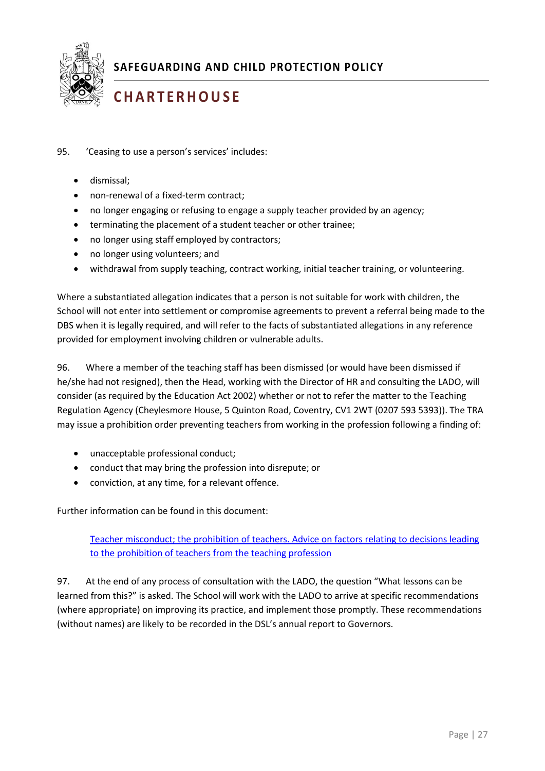

# **C H A R T E R H O U S E**

- 95. 'Ceasing to use a person's services' includes:
	- dismissal;
	- non-renewal of a fixed-term contract;
	- no longer engaging or refusing to engage a supply teacher provided by an agency;
	- terminating the placement of a student teacher or other trainee;
	- no longer using staff employed by contractors;
	- no longer using volunteers; and
	- withdrawal from supply teaching, contract working, initial teacher training, or volunteering.

Where a substantiated allegation indicates that a person is not suitable for work with children, the School will not enter into settlement or compromise agreements to prevent a referral being made to the DBS when it is legally required, and will refer to the facts of substantiated allegations in any reference provided for employment involving children or vulnerable adults.

96. Where a member of the teaching staff has been dismissed (or would have been dismissed if he/she had not resigned), then the Head, working with the Director of HR and consulting the LADO, will consider (as required by the Education Act 2002) whether or not to refer the matter to the Teaching Regulation Agency (Cheylesmore House, 5 Quinton Road, Coventry, CV1 2WT (0207 593 5393)). The TRA may issue a prohibition order preventing teachers from working in the profession following a finding of:

- unacceptable professional conduct;
- conduct that may bring the profession into disrepute; or
- conviction, at any time, for a relevant offence.

Further information can be found in this document:

[Teacher misconduct; the prohibition of teachers. Advice on factors relating to decisions leading](https://www.gov.uk/government/uploads/system/uploads/attachment_data/file/495028/Teacher_Misconduct_The_Prohibition_of_Teachers_advice_updated_26_Jan_2016.pdf)  [to the prohibition of teachers from the teaching profession](https://www.gov.uk/government/uploads/system/uploads/attachment_data/file/495028/Teacher_Misconduct_The_Prohibition_of_Teachers_advice_updated_26_Jan_2016.pdf)

97. At the end of any process of consultation with the LADO, the question "What lessons can be learned from this?" is asked. The School will work with the LADO to arrive at specific recommendations (where appropriate) on improving its practice, and implement those promptly. These recommendations (without names) are likely to be recorded in the DSL's annual report to Governors.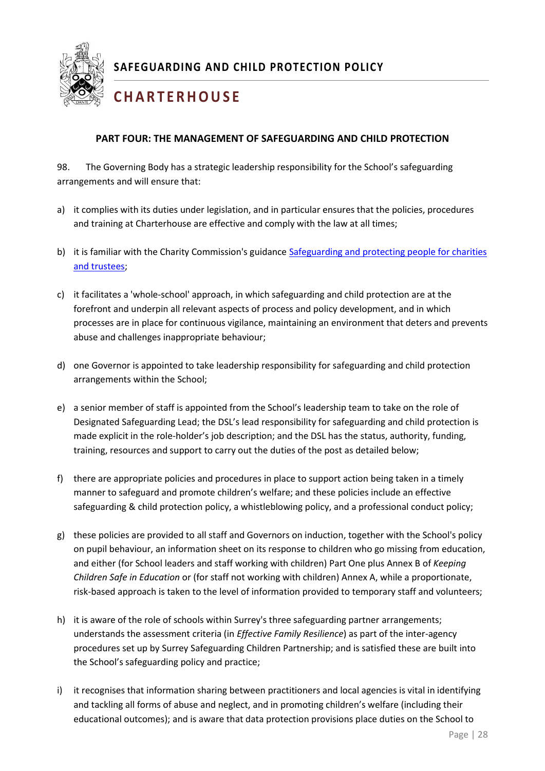

# <span id="page-28-0"></span>**C H A R T E R H O U S E**

#### **PART FOUR: THE MANAGEMENT OF SAFEGUARDING AND CHILD PROTECTION**

98. The Governing Body has a strategic leadership responsibility for the School's safeguarding arrangements and will ensure that:

- a) it complies with its duties under legislation, and in particular ensures that the policies, procedures and training at Charterhouse are effective and comply with the law at all times;
- b) it is familiar with the Charity Commission's guidanc[e Safeguarding and protecting people for charities](https://www.gov.uk/guidance/safeguarding-duties-for-charity-trustees)  [and trustees;](https://www.gov.uk/guidance/safeguarding-duties-for-charity-trustees)
- c) it facilitates a 'whole-school' approach, in which safeguarding and child protection are at the forefront and underpin all relevant aspects of process and policy development, and in which processes are in place for continuous vigilance, maintaining an environment that deters and prevents abuse and challenges inappropriate behaviour;
- d) one Governor is appointed to take leadership responsibility for safeguarding and child protection arrangements within the School;
- e) a senior member of staff is appointed from the School's leadership team to take on the role of Designated Safeguarding Lead; the DSL's lead responsibility for safeguarding and child protection is made explicit in the role-holder's job description; and the DSL has the status, authority, funding, training, resources and support to carry out the duties of the post as detailed below;
- f) there are appropriate policies and procedures in place to support action being taken in a timely manner to safeguard and promote children's welfare; and these policies include an effective safeguarding & child protection policy, a whistleblowing policy, and a professional conduct policy;
- g) these policies are provided to all staff and Governors on induction, together with the School's policy<br>an numil habouisur, on information shact an its responses to shildren who go missing from advantion on pupil behaviour, an information sheet on its response to children who go missing from education, and either (for School leaders and staff working with children) Part One plus Annex B of *Keeping Children Safe in Education* or (for staff not working with children) Annex A, while a proportionate, risk-based approach is taken to the level of information provided to temporary staff and volunteers;
- h) it is aware of the role of schools within Surrey's three safeguarding partner arrangements; understands the assessment criteria (in *Effective Family Resilience*) as part of the inter-agency procedures set up by Surrey Safeguarding Children Partnership; and is satisfied these are built into the School's safeguarding policy and practice;
- i) it recognises that information sharing between practitioners and local agencies is vital in identifying and tackling all forms of abuse and neglect, and in promoting children's welfare (including their educational outcomes); and is aware that data protection provisions place duties on the School to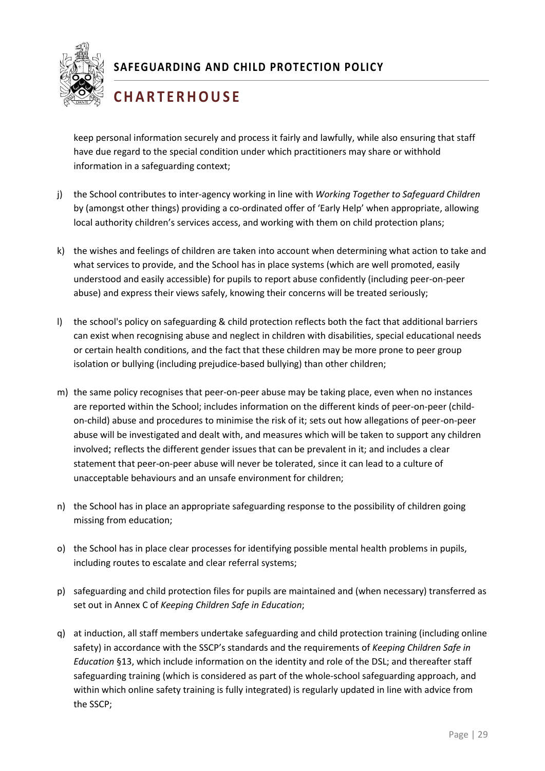

## **C H A R T E R H O U S E**

keep personal information securely and process it fairly and lawfully, while also ensuring that staff have due regard to the special condition under which practitioners may share or withhold information in a safeguarding context;

- j) the School contributes to inter-agency working in line with *Working Together to Safeguard Children* by (amongst other things) providing a co-ordinated offer of 'Early Help' when appropriate, allowing local authority children's services access, and working with them on child protection plans;
- k) the wishes and feelings of children are taken into account when determining what action to take and what services to provide, and the School has in place systems (which are well promoted, easily understood and easily accessible) for pupils to report abuse confidently (including peer-on-peer abuse) and express their views safely, knowing their concerns will be treated seriously;
- l) the school's policy on safeguarding & child protection reflects both the fact that additional barriers can exist when recognising abuse and neglect in children with disabilities, special educational needs or certain health conditions, and the fact that these children may be more prone to peer group isolation or bullying (including prejudice-based bullying) than other children;
- m) the same policy recognises that peer-on-peer abuse may be taking place, even when no instances are reported within the School; includes information on the different kinds of peer-on-peer (childon-child) abuse and procedures to minimise the risk of it; sets out how allegations of peer-on-peer abuse will be investigated and dealt with, and measures which will be taken to support any children involved; reflects the different gender issues that can be prevalent in it; and includes a clear statement that peer-on-peer abuse will never be tolerated, since it can lead to a culture of unacceptable behaviours and an unsafe environment for children;
- n) the School has in place an appropriate safeguarding response to the possibility of children going missing from education;
- 1 o) the School has in place clear processes for identifying possible mental health problems in pupils, including routes to escalate and clear referral systems;
- p) safeguarding and child protection files for pupils are maintained and (when necessary) transferred as set out in Annex C of *Keeping Children Safe in Education*;
- q) at induction, all staff members undertake safeguarding and child protection training (including online safety) in accordance with the SSCP's standards and the requirements of *Keeping Children Safe in Education* §13, which include information on the identity and role of the DSL; and thereafter staff safeguarding training (which is considered as part of the whole-school safeguarding approach, and within which online safety training is fully integrated) is regularly updated in line with advice from the SSCP;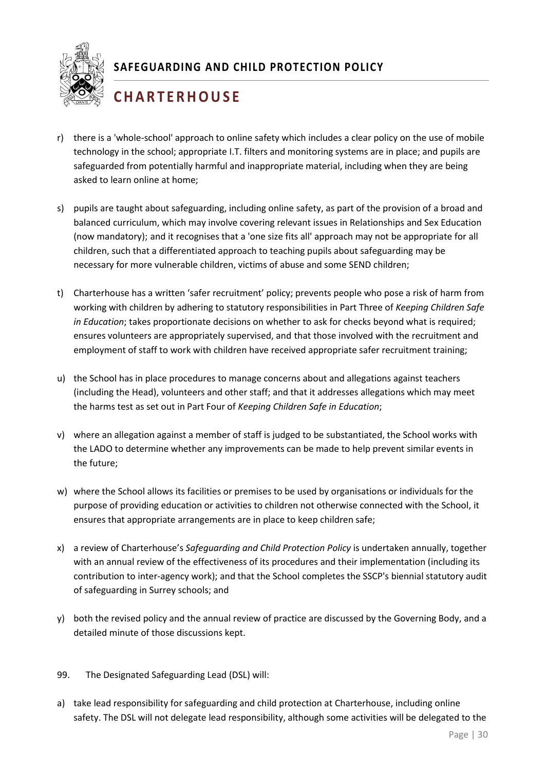

## **C H A R T E R H O U S E**

- r) there is a 'whole-school' approach to online safety which includes a clear policy on the use of mobile technology in the school; appropriate I.T. filters and monitoring systems are in place; and pupils are safeguarded from potentially harmful and inappropriate material, including when they are being asked to learn online at home;
- s) pupils are taught about safeguarding, including online safety, as part of the provision of a broad and balanced curriculum, which may involve covering relevant issues in Relationships and Sex Education (now mandatory); and it recognises that a 'one size fits all' approach may not be appropriate for all children, such that a differentiated approach to teaching pupils about safeguarding may be necessary for more vulnerable children, victims of abuse and some SEND children;
- t) Charterhouse has a written 'safer recruitment' policy; prevents people who pose a risk of harm from working with children by adhering to statutory responsibilities in Part Three of *Keeping Children Safe in Education*; takes proportionate decisions on whether to ask for checks beyond what is required; ensures volunteers are appropriately supervised, and that those involved with the recruitment and employment of staff to work with children have received appropriate safer recruitment training;
- u) the School has in place procedures to manage concerns about and allegations against teachers (including the Head), volunteers and other staff; and that it addresses allegations which may meet the harms test as set out in Part Four of *Keeping Children Safe in Education*;
- v) where an allegation against a member of staff is judged to be substantiated, the School works with the LADO to determine whether any improvements can be made to help prevent similar events in the future;
- w) where the School allows its facilities or premises to be used by organisations or individuals for the purpose of providing education or activities to children not otherwise connected with the School, it ensures that appropriate arrangements are in place to keep children safe;
- 1 x) a review of Charterhouse's *Safeguarding and Child Protection Policy* is undertaken annually, together with an annual review of the effectiveness of its procedures and their implementation (including its contribution to inter-agency work); and that the School completes the SSCP's biennial statutory audit of safeguarding in Surrey schools; and
- y) both the revised policy and the annual review of practice are discussed by the Governing Body, and a detailed minute of those discussions kept.
- 99. The Designated Safeguarding Lead (DSL) will:
- a) take lead responsibility for safeguarding and child protection at Charterhouse, including online safety. The DSL will not delegate lead responsibility, although some activities will be delegated to the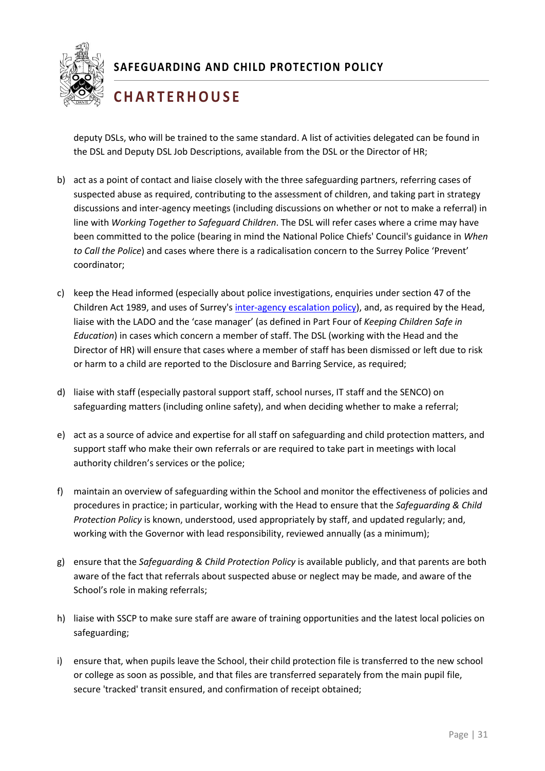

## **C H A R T E R H O U S E**

deputy DSLs, who will be trained to the same standard. A list of activities delegated can be found in the DSL and Deputy DSL Job Descriptions, available from the DSL or the Director of HR;

- b) act as a point of contact and liaise closely with the three safeguarding partners, referring cases of suspected abuse as required, contributing to the assessment of children, and taking part in strategy discussions and inter-agency meetings (including discussions on whether or not to make a referral) in line with *Working Together to Safeguard Children*. The DSL will refer cases where a crime may have been committed to the police (bearing in mind the National Police Chiefs' Council's guidance in *When to Call the Police*) and cases where there is a radicalisation concern to the Surrey Police 'Prevent' coordinator;
- c) keep the Head informed (especially about police investigations, enquiries under section 47 of the Children Act 1989, and uses of Surrey'[s inter-agency escalation policy\)](https://surreyscb.procedures.org.uk/skptp/complaints-and-disagreements/inter-agency-escalation-policy-and-procedure), and, as required by the Head, liaise with the LADO and the 'case manager' (as defined in Part Four of *Keeping Children Safe in Education*) in cases which concern a member of staff. The DSL (working with the Head and the Director of HR) will ensure that cases where a member of staff has been dismissed or left due to risk or harm to a child are reported to the Disclosure and Barring Service, as required;
- d) liaise with staff (especially pastoral support staff, school nurses, IT staff and the SENCO) on safeguarding matters (including online safety), and when deciding whether to make a referral;
- e) act as a source of advice and expertise for all staff on safeguarding and child protection matters, and support staff who make their own referrals or are required to take part in meetings with local authority children's services or the police;
- f) maintain an overview of safeguarding within the School and monitor the effectiveness of policies and procedures in practice; in particular, working with the Head to ensure that the *Safeguarding & Child Protection Policy* is known, understood, used appropriately by staff, and updated regularly; and, working with the Governor with lead responsibility, reviewed annually (as a minimum);
- g) ensure that the *Safeguarding & Child Protection Policy* is available publicly, and that parents are both aware of the fact that referrals about suspected abuse or neglect may be made, and aware of the School's role in making referrals;
- h) liaise with SSCP to make sure staff are aware of training opportunities and the latest local policies on safeguarding;
- i) ensure that, when pupils leave the School, their child protection file is transferred to the new school or college as soon as possible, and that files are transferred separately from the main pupil file, secure 'tracked' transit ensured, and confirmation of receipt obtained;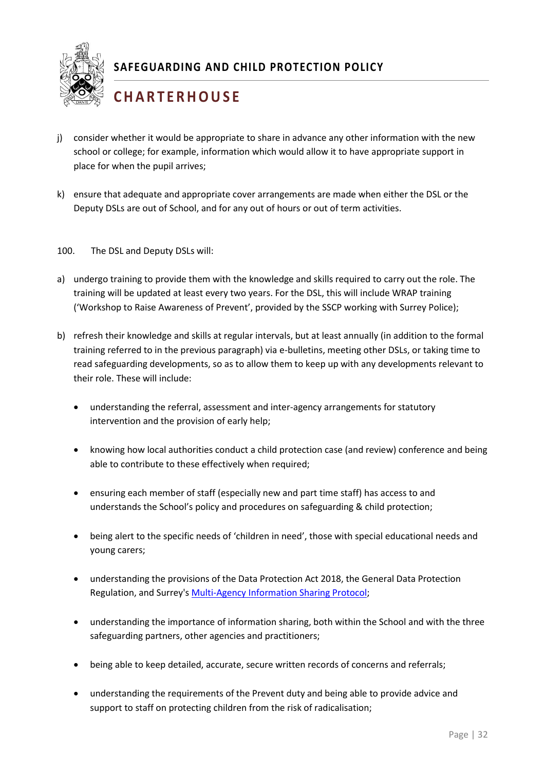

## **C H A R T E R H O U S E**

- j) consider whether it would be appropriate to share in advance any other information with the new school or college; for example, information which would allow it to have appropriate support in place for when the pupil arrives;
- k) ensure that adequate and appropriate cover arrangements are made when either the DSL or the Deputy DSLs are out of School, and for any out of hours or out of term activities.
- 100. The DSL and Deputy DSLs will:
- a) undergo training to provide them with the knowledge and skills required to carry out the role. The training will be updated at least every two years. For the DSL, this will include WRAP training ('Workshop to Raise Awareness of Prevent', provided by the SSCP working with Surrey Police);
- b) refresh their knowledge and skills at regular intervals, but at least annually (in addition to the formal training referred to in the previous paragraph) via e-bulletins, meeting other DSLs, or taking time to read safeguarding developments, so as to allow them to keep up with any developments relevant to their role. These will include:
	- understanding the referral, assessment and inter-agency arrangements for statutory intervention and the provision of early help;
	- knowing how local authorities conduct a child protection case (and review) conference and being able to contribute to these effectively when required;
	- ensuring each member of staff (especially new and part time staff) has access to and understands the School's policy and procedures on safeguarding & child protection;
	- being alert to the specific needs of 'children in need', those with special educational needs and young carers;
	- understanding the provisions of the Data Protection Act 2018, the General Data Protection Regulation, and Surrey's [Multi-Agency Information Sharing Protocol;](https://www.surreycc.gov.uk/__data/assets/pdf_file/0007/23749/MAISP-v5.pdf)
	- understanding the importance of information sharing, both within the School and with the three safeguarding partners, other agencies and practitioners;
	- being able to keep detailed, accurate, secure written records of concerns and referrals;
	- understanding the requirements of the Prevent duty and being able to provide advice and support to staff on protecting children from the risk of radicalisation;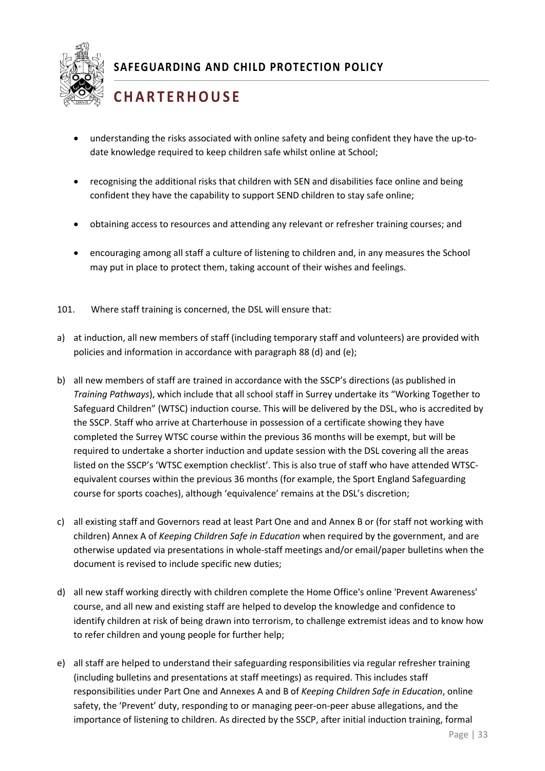

# **C H A R T E R H O U S E**

- understanding the risks associated with online safety and being confident they have the up-todate knowledge required to keep children safe whilst online at School;
- recognising the additional risks that children with SEN and disabilities face online and being confident they have the capability to support SEND children to stay safe online;
- obtaining access to resources and attending any relevant or refresher training courses; and
- encouraging among all staff a culture of listening to children and, in any measures the School may put in place to protect them, taking account of their wishes and feelings.
- 101. Where staff training is concerned, the DSL will ensure that:
- a) at induction, all new members of staff (including temporary staff and volunteers) are provided with policies and information in accordance with paragraph 88 (d) and (e);
- b) all new members of staff are trained in accordance with the SSCP's directions (as published in *Training Pathways*), which include that all school staff in Surrey undertake its "Working Together to Safeguard Children" (WTSC) induction course. This will be delivered by the DSL, who is accredited by the SSCP. Staff who arrive at Charterhouse in possession of a certificate showing they have completed the Surrey WTSC course within the previous 36 months will be exempt, but will be required to undertake a shorter induction and update session with the DSL covering all the areas listed on the SSCP's 'WTSC exemption checklist'. This is also true of staff who have attended WTSCequivalent courses within the previous 36 months (for example, the Sport England Safeguarding course for sports coaches), although 'equivalence' remains at the DSL's discretion;
- c) all existing staff and Governors read at least Part One and and Annex B or (for staff not working with children) Annex A of *Keeping Children Safe in Education* when required by the government, and are otherwise updated via presentations in whole-staff meetings and/or email/paper bulletins when the document is revised to include specific new duties;
- d) all new staff working directly with children complete the Home Office's online 'Prevent Awareness' course, and all new and existing staff are helped to develop the knowledge and confidence to identify children at risk of being drawn into terrorism, to challenge extremist ideas and to know how to refer children and young people for further help;
- e) all staff are helped to understand their safeguarding responsibilities via regular refresher training (including bulletins and presentations at staff meetings) as required. This includes staff responsibilities under Part One and Annexes A and B of *Keeping Children Safe in Education*, online safety, the 'Prevent' duty, responding to or managing peer-on-peer abuse allegations, and the importance of listening to children. As directed by the SSCP, after initial induction training, formal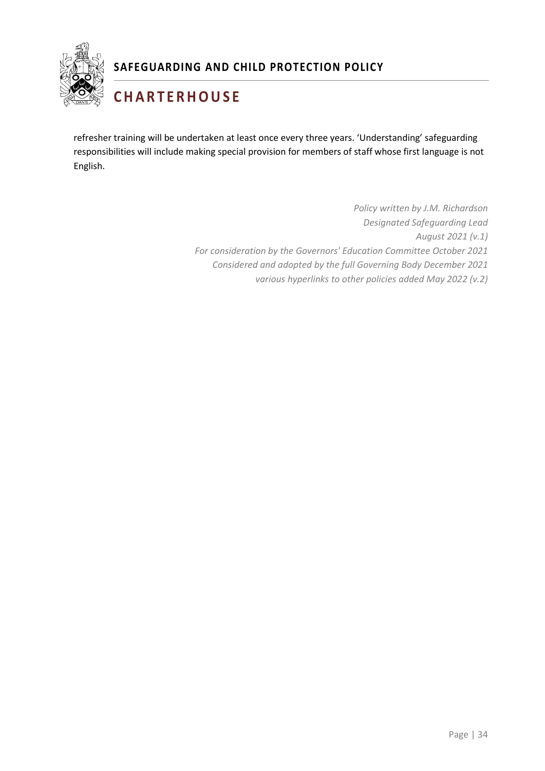

# **C H A R T E R H O U S E**

refresher training will be undertaken at least once every three years. 'Understanding' safeguarding responsibilities will include making special provision for members of staff whose first language is not English.

> *Policy written by J.M. Richardson Designated Safeguarding Lead August 2021 (v.1) For consideration by the Governors' Education Committee October 2021 Considered and adopted by the full Governing Body December 2021 various hyperlinks to other policies added May 2022 (v.2)*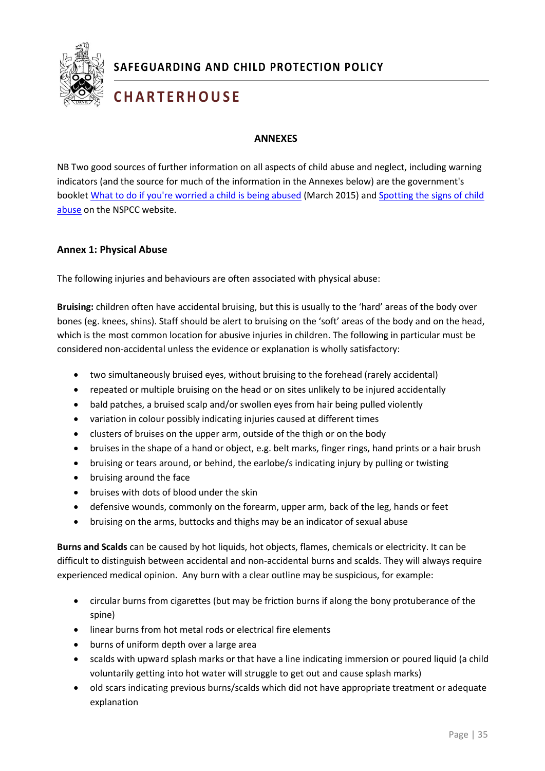

# **C H A R T E R H O U S E**

#### **ANNEXES**

NB Two good sources of further information on all aspects of child abuse and neglect, including warning indicators (and the source for much of the information in the Annexes below) are the government's booklet [What to do if you're worried a child is](https://www.gov.uk/government/uploads/system/uploads/attachment_data/file/419604/What_to_do_if_you_re_worried_a_child_is_being_abused.pdf) being abused (March 2015) and Spotting the signs of child [abuse](https://www.nspcc.org.uk/what-is-child-abuse/spotting-signs-child-abuse/) on the NSPCC website.

#### **Annex 1: Physical Abuse**

<span id="page-35-0"></span>The following injuries and behaviours are often associated with physical abuse:

**Bruising:** children often have accidental bruising, but this is usually to the 'hard' areas of the body over bones (eg. knees, shins). Staff should be alert to bruising on the 'soft' areas of the body and on the head, which is the most common location for abusive injuries in children. The following in particular must be considered non-accidental unless the evidence or explanation is wholly satisfactory:

- two simultaneously bruised eyes, without bruising to the forehead (rarely accidental)
- repeated or multiple bruising on the head or on sites unlikely to be injured accidentally
- bald patches, a bruised scalp and/or swollen eyes from hair being pulled violently
- variation in colour possibly indicating injuries caused at different times
- clusters of bruises on the upper arm, outside of the thigh or on the body
- bruises in the shape of a hand or object, e.g. belt marks, finger rings, hand prints or a hair brush
- bruising or tears around, or behind, the earlobe/s indicating injury by pulling or twisting
- bruising around the face
- bruises with dots of blood under the skin
- defensive wounds, commonly on the forearm, upper arm, back of the leg, hands or feet
- bruising on the arms, buttocks and thighs may be an indicator of sexual abuse

1 **Burns and Scalds** can be caused by hot liquids, hot objects, flames, chemicals or electricity. It can be difficult to distinguish between accidental and non-accidental burns and scalds. They will always require experienced medical opinion. Any burn with a clear outline may be suspicious, for example:

- circular burns from cigarettes (but may be friction burns if along the bony protuberance of the spine)
- linear burns from hot metal rods or electrical fire elements
- burns of uniform depth over a large area
- scalds with upward splash marks or that have a line indicating immersion or poured liquid (a child voluntarily getting into hot water will struggle to get out and cause splash marks)
- old scars indicating previous burns/scalds which did not have appropriate treatment or adequate explanation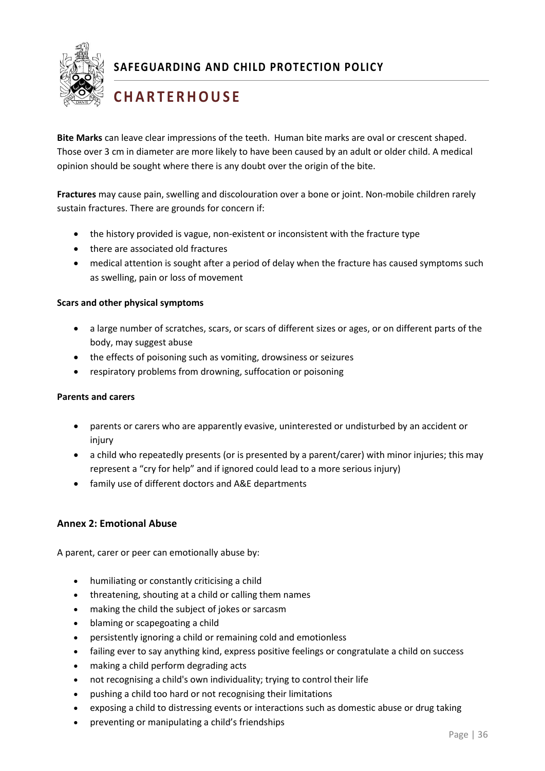

# **C H A R T E R H O U S E**

**Bite Marks** can leave clear impressions of the teeth. Human bite marks are oval or crescent shaped. Those over 3 cm in diameter are more likely to have been caused by an adult or older child. A medical opinion should be sought where there is any doubt over the origin of the bite.

**Fractures** may cause pain, swelling and discolouration over a bone or joint. Non-mobile children rarely sustain fractures. There are grounds for concern if:

- the history provided is vague, non-existent or inconsistent with the fracture type
- there are associated old fractures
- medical attention is sought after a period of delay when the fracture has caused symptoms such as swelling, pain or loss of movement

#### **Scars and other physical symptoms**

- a large number of scratches, scars, or scars of different sizes or ages, or on different parts of the body, may suggest abuse
- the effects of poisoning such as vomiting, drowsiness or seizures
- respiratory problems from drowning, suffocation or poisoning

#### **Parents and carers**

- parents or carers who are apparently evasive, uninterested or undisturbed by an accident or injury
- a child who repeatedly presents (or is presented by a parent/carer) with minor injuries; this may represent a "cry for help" and if ignored could lead to a more serious injury)
- family use of different doctors and A&E departments

#### **Annex 2: Emotional Abuse**

<span id="page-36-0"></span>A parent, carer or peer can emotionally abuse by:

- humiliating or constantly criticising a child
- threatening, shouting at a child or calling them names
- making the child the subject of jokes or sarcasm
- blaming or scapegoating a child
- persistently ignoring a child or remaining cold and emotionless
- failing ever to say anything kind, express positive feelings or congratulate a child on success
- making a child perform degrading acts
- not recognising a child's own individuality; trying to control their life
- pushing a child too hard or not recognising their limitations
- exposing a child to distressing events or interactions such as domestic abuse or drug taking
- preventing or manipulating a child's friendships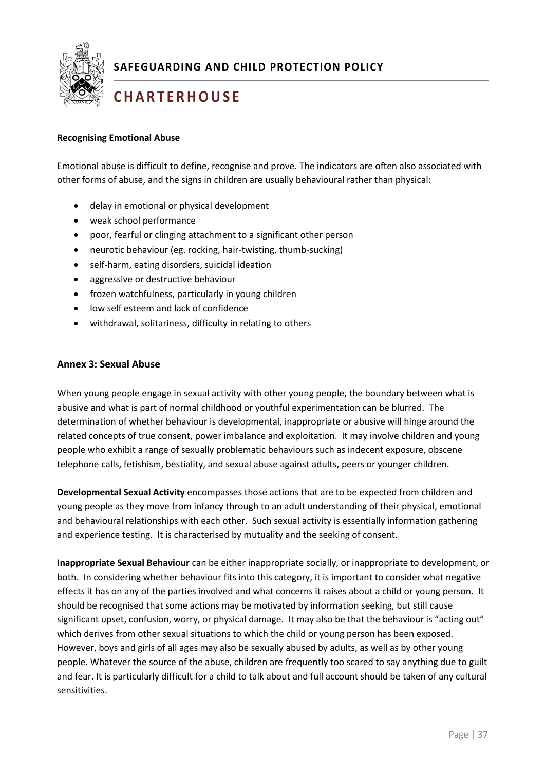

## **C H A R T E R H O U S E**

#### **Recognising Emotional Abuse**

Emotional abuse is difficult to define, recognise and prove. The indicators are often also associated with other forms of abuse, and the signs in children are usually behavioural rather than physical:

- delay in emotional or physical development
- weak school performance
- poor, fearful or clinging attachment to a significant other person
- neurotic behaviour (eg. rocking, hair-twisting, thumb-sucking)
- self-harm, eating disorders, suicidal ideation
- aggressive or destructive behaviour
- frozen watchfulness, particularly in young children
- low self esteem and lack of confidence
- withdrawal, solitariness, difficulty in relating to others

#### **Annex 3: Sexual Abuse**

<span id="page-37-0"></span>When young people engage in sexual activity with other young people, the boundary between what is abusive and what is part of normal childhood or youthful experimentation can be blurred. The determination of whether behaviour is developmental, inappropriate or abusive will hinge around the related concepts of true consent, power imbalance and exploitation. It may involve children and young people who exhibit a range of sexually problematic behaviours such as indecent exposure, obscene telephone calls, fetishism, bestiality, and sexual abuse against adults, peers or younger children.

and experience testing. It is characterised by mutuality and the seeking of consent.<br> **Developmental Sexual Activity** encompasses those actions that are to be expected from children and young people as they move from infancy through to an adult understanding of their physical, emotional and behavioural relationships with each other. Such sexual activity is essentially information gathering

**Inappropriate Sexual Behaviour** can be either inappropriate socially, or inappropriate to development, or both. In considering whether behaviour fits into this category, it is important to consider what negative effects it has on any of the parties involved and what concerns it raises about a child or young person. It should be recognised that some actions may be motivated by information seeking, but still cause significant upset, confusion, worry, or physical damage. It may also be that the behaviour is "acting out" which derives from other sexual situations to which the child or young person has been exposed. However, boys and girls of all ages may also be sexually abused by adults, as well as by other young people. Whatever the source of the abuse, children are frequently too scared to say anything due to guilt and fear. It is particularly difficult for a child to talk about and full account should be taken of any cultural sensitivities.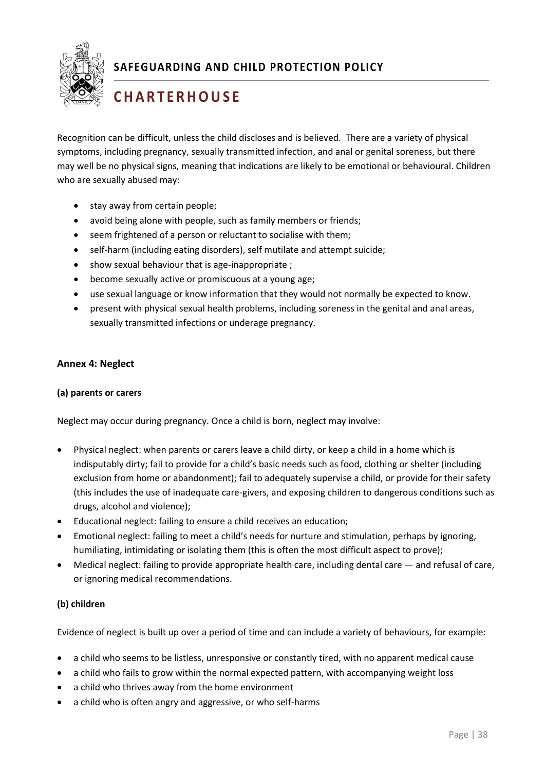

# **C H A R T E R H O U S E**

Recognition can be difficult, unless the child discloses and is believed. There are a variety of physical symptoms, including pregnancy, sexually transmitted infection, and anal or genital soreness, but there may well be no physical signs, meaning that indications are likely to be emotional or behavioural. Children who are sexually abused may:

- stay away from certain people;
- avoid being alone with people, such as family members or friends;
- seem frightened of a person or reluctant to socialise with them;
- self-harm (including eating disorders), self mutilate and attempt suicide;
- show sexual behaviour that is age-inappropriate;
- become sexually active or promiscuous at a young age;
- use sexual language or know information that they would not normally be expected to know.
- present with physical sexual health problems, including soreness in the genital and anal areas, sexually transmitted infections or underage pregnancy.

#### <span id="page-38-0"></span>**Annex 4: Neglect**

#### **(a) parents or carers**

Neglect may occur during pregnancy. Once a child is born, neglect may involve:

- Physical neglect: when parents or carers leave a child dirty, or keep a child in a home which is indisputably dirty; fail to provide for a child's basic needs such as food, clothing or shelter (including exclusion from home or abandonment); fail to adequately supervise a child, or provide for their safety (this includes the use of inadequate care-givers, and exposing children to dangerous conditions such as drugs, alcohol and violence);
- Educational neglect: failing to ensure a child receives an education;
- $\mathbf{I}$ • Emotional neglect: failing to meet a child's needs for nurture and stimulation, perhaps by ignoring, humiliating, intimidating or isolating them (this is often the most difficult aspect to prove);
- Medical neglect: failing to provide appropriate health care, including dental care  $-$  and refusal of care, or ignoring medical recommendations.

#### **(b) children**

Evidence of neglect is built up over a period of time and can include a variety of behaviours, for example:

- a child who seems to be listless, unresponsive or constantly tired, with no apparent medical cause
- a child who fails to grow within the normal expected pattern, with accompanying weight loss
- a child who thrives away from the home environment
- a child who is often angry and aggressive, or who self-harms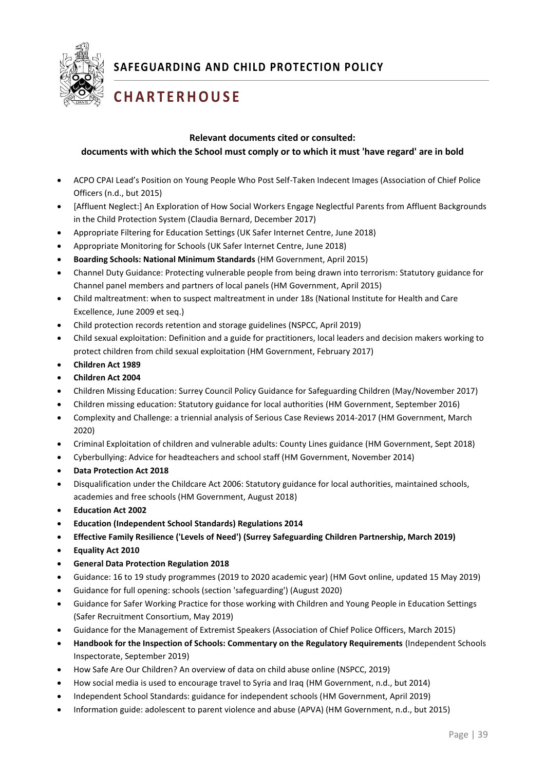

# **C H A R T E R H O U S E**

#### **Relevant documents cited or consulted:**

#### <span id="page-39-0"></span>**documents with which the School must comply or to which it must 'have regard' are in bold**

- ACPO CPAI Lead's Position on Young People Who Post Self-Taken Indecent Images (Association of Chief Police Officers (n.d., but 2015)
- [Affluent Neglect:] An Exploration of How Social Workers Engage Neglectful Parents from Affluent Backgrounds in the Child Protection System (Claudia Bernard, December 2017)
- Appropriate Filtering for Education Settings (UK Safer Internet Centre, June 2018)
- Appropriate Monitoring for Schools (UK Safer Internet Centre, June 2018)
- **Boarding Schools: National Minimum Standards** (HM Government, April 2015)
- Channel Duty Guidance: Protecting vulnerable people from being drawn into terrorism: Statutory guidance for Channel panel members and partners of local panels (HM Government, April 2015)
- Child maltreatment: when to suspect maltreatment in under 18s (National Institute for Health and Care Excellence, June 2009 et seq.)
- Child protection records retention and storage guidelines (NSPCC, April 2019)
- Child sexual exploitation: Definition and a guide for practitioners, local leaders and decision makers working to protect children from child sexual exploitation (HM Government, February 2017)
- **Children Act 1989**
- **Children Act 2004**
- Children Missing Education: Surrey Council Policy Guidance for Safeguarding Children (May/November 2017)
- Children missing education: Statutory guidance for local authorities (HM Government, September 2016)
- Complexity and Challenge: a triennial analysis of Serious Case Reviews 2014-2017 (HM Government, March 2020)
- Criminal Exploitation of children and vulnerable adults: County Lines guidance (HM Government, Sept 2018)
- Cyberbullying: Advice for headteachers and school staff (HM Government, November 2014)
- **Data Protection Act 2018**
- Disqualification under the Childcare Act 2006: Statutory guidance for local authorities, maintained schools, academies and free schools (HM Government, August 2018)
- **Education Act 2002**
- **Education (Independent School Standards) Regulations 2014**
- $\mathbf{L}$ • **Effective Family Resilience ('Levels of Need') (Surrey Safeguarding Children Partnership, March 2019)**
- **Equality Act 2010**
- **General Data Protection Regulation 2018**
- Guidance: 16 to 19 study programmes (2019 to 2020 academic year) (HM Govt online, updated 15 May 2019)
- Guidance for full opening: schools (section 'safeguarding') (August 2020)
- Guidance for Safer Working Practice for those working with Children and Young People in Education Settings (Safer Recruitment Consortium, May 2019)
- Guidance for the Management of Extremist Speakers (Association of Chief Police Officers, March 2015)
- **Handbook for the Inspection of Schools: Commentary on the Regulatory Requirements** (Independent Schools Inspectorate, September 2019)
- How Safe Are Our Children? An overview of data on child abuse online (NSPCC, 2019)
- How social media is used to encourage travel to Syria and Iraq (HM Government, n.d., but 2014)
- Independent School Standards: guidance for independent schools (HM Government, April 2019)
- Information guide: adolescent to parent violence and abuse (APVA) (HM Government, n.d., but 2015)